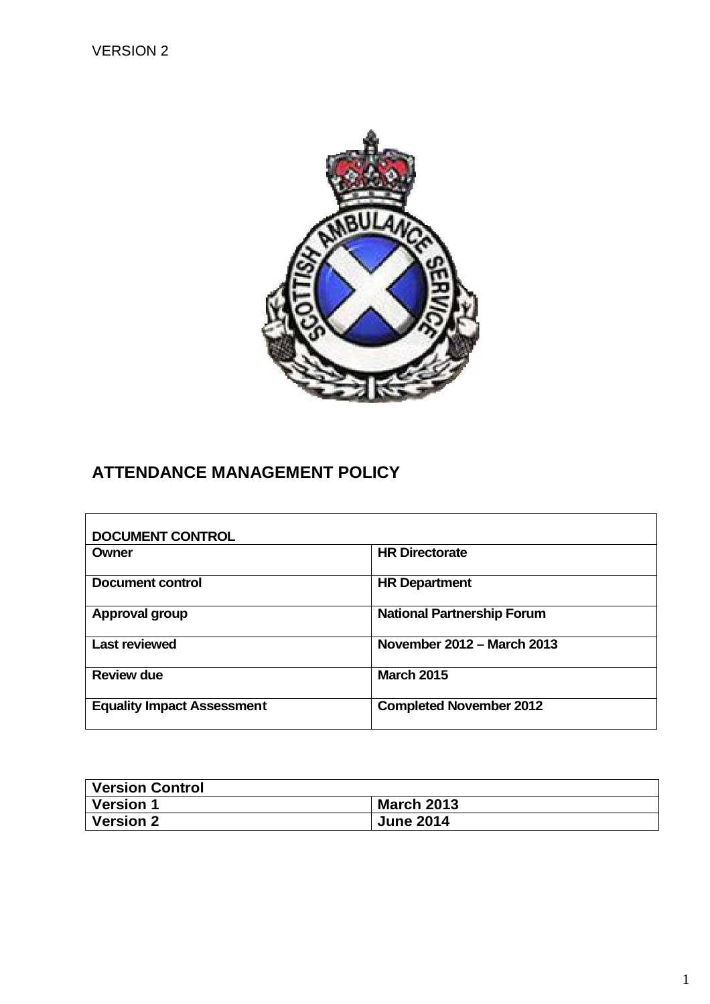

# **ATTENDANCE MANAGEMENT POLICY**

| <b>DOCUMENT CONTROL</b>           |                                   |
|-----------------------------------|-----------------------------------|
| Owner                             | <b>HR Directorate</b>             |
| Document control                  | <b>HR Department</b>              |
| Approval group                    | <b>National Partnership Forum</b> |
| <b>Last reviewed</b>              | November 2012 – March 2013        |
| <b>Review due</b>                 | <b>March 2015</b>                 |
| <b>Equality Impact Assessment</b> | <b>Completed November 2012</b>    |

| Version Control |                   |
|-----------------|-------------------|
| Version 1       | <b>March 2013</b> |
| Version 2       | <b>June 2014</b>  |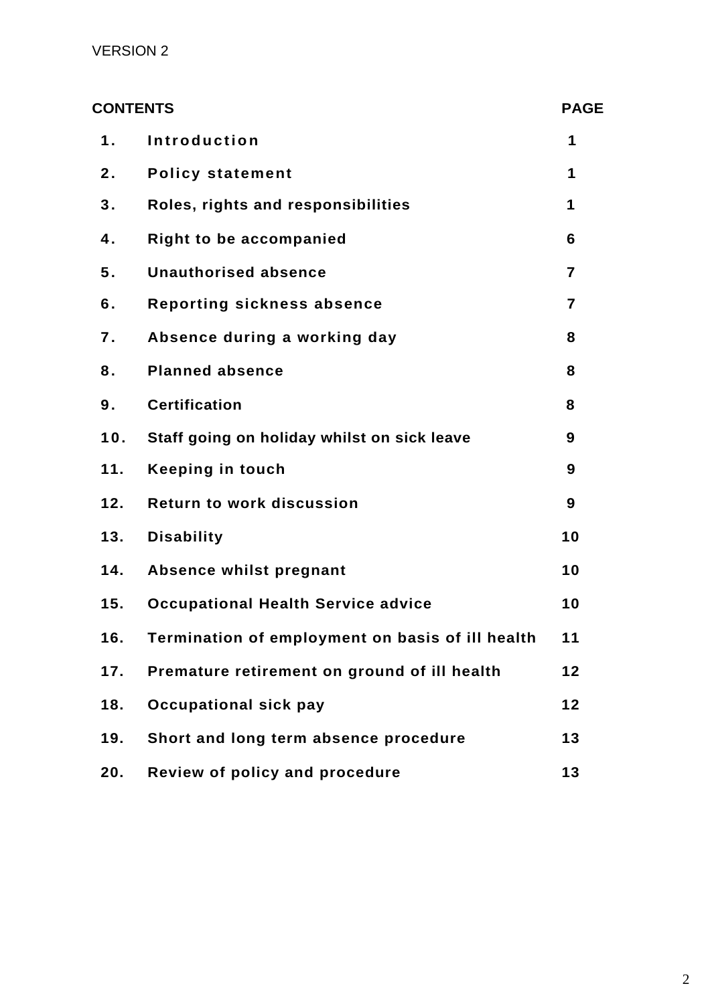| <b>CONTENTS</b> |                                                  | <b>PAGE</b>             |
|-----------------|--------------------------------------------------|-------------------------|
| 1.              | <b>Introduction</b>                              | 1                       |
| 2.              | <b>Policy statement</b>                          | 1                       |
| 3.              | Roles, rights and responsibilities               | 1                       |
| 4.              | <b>Right to be accompanied</b>                   | 6                       |
| 5.              | <b>Unauthorised absence</b>                      | 7                       |
| 6.              | Reporting sickness absence                       | $\overline{\mathbf{z}}$ |
| 7.              | Absence during a working day                     | 8                       |
| 8.              | <b>Planned absence</b>                           | 8                       |
| 9.              | <b>Certification</b>                             | 8                       |
| 10.             | Staff going on holiday whilst on sick leave      | 9                       |
| 11.             | <b>Keeping in touch</b>                          | 9                       |
| 12.             | <b>Return to work discussion</b>                 | 9                       |
| 13.             | <b>Disability</b>                                | 10                      |
| 14.             | Absence whilst pregnant                          | 10                      |
| 15.             | <b>Occupational Health Service advice</b>        | 10                      |
| 16.             | Termination of employment on basis of ill health | 11                      |
| 17.             | Premature retirement on ground of ill health     | 12                      |
| 18.             | <b>Occupational sick pay</b>                     | 12                      |
| 19.             | Short and long term absence procedure            | 13                      |
| 20.             | Review of policy and procedure                   | 13                      |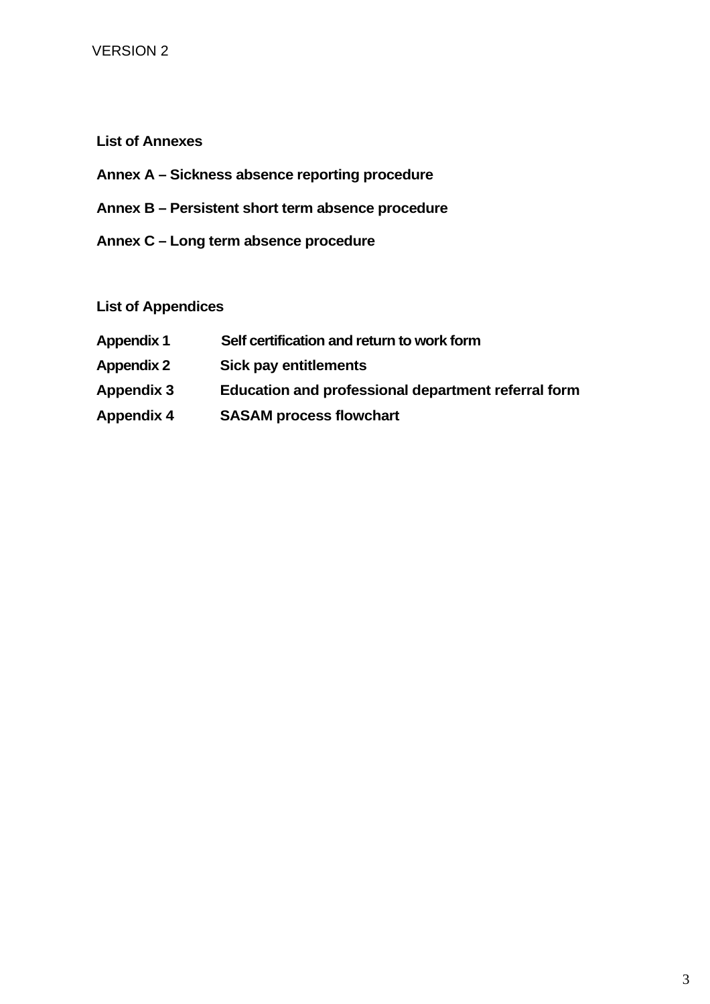# **List of Annexes**

- **Annex A Sickness absence reporting procedure**
- **Annex B Persistent short term absence procedure**
- **Annex C Long term absence procedure**

# **List of Appendices**

- **Appendix 1 Self certification and return to work form Appendix 2 Sick pay entitlements Appendix 3 Education and professional department referral form**
- **Appendix 4 SASAM process flowchart**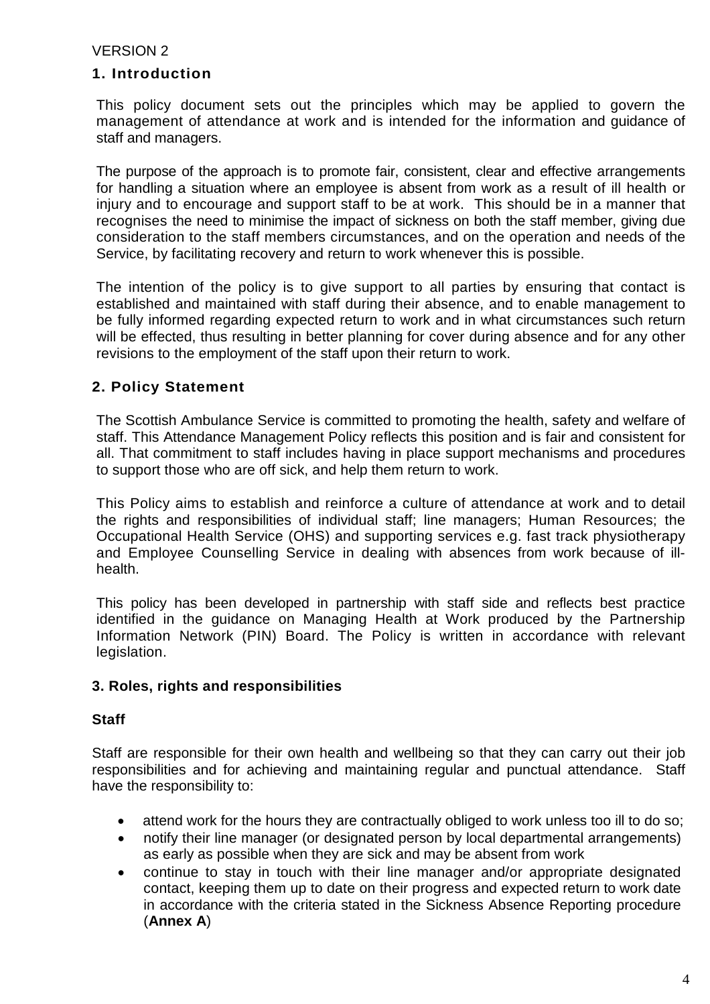### **1. Introduction**

This policy document sets out the principles which may be applied to govern the management of attendance at work and is intended for the information and guidance of staff and managers.

The purpose of the approach is to promote fair, consistent, clear and effective arrangements for handling a situation where an employee is absent from work as a result of ill health or injury and to encourage and support staff to be at work. This should be in a manner that recognises the need to minimise the impact of sickness on both the staff member, giving due consideration to the staff members circumstances, and on the operation and needs of the Service, by facilitating recovery and return to work whenever this is possible.

The intention of the policy is to give support to all parties by ensuring that contact is established and maintained with staff during their absence, and to enable management to be fully informed regarding expected return to work and in what circumstances such return will be effected, thus resulting in better planning for cover during absence and for any other revisions to the employment of the staff upon their return to work.

# **2. Policy Statement**

The Scottish Ambulance Service is committed to promoting the health, safety and welfare of staff. This Attendance Management Policy reflects this position and is fair and consistent for all. That commitment to staff includes having in place support mechanisms and procedures to support those who are off sick, and help them return to work.

This Policy aims to establish and reinforce a culture of attendance at work and to detail the rights and responsibilities of individual staff; line managers; Human Resources; the Occupational Health Service (OHS) and supporting services e.g. fast track physiotherapy and Employee Counselling Service in dealing with absences from work because of illhealth.

This policy has been developed in partnership with staff side and reflects best practice identified in the guidance on Managing Health at Work produced by the Partnership Information Network (PIN) Board. The Policy is written in accordance with relevant legislation.

#### **3. Roles, rights and responsibilities**

#### **Staff**

Staff are responsible for their own health and wellbeing so that they can carry out their job responsibilities and for achieving and maintaining regular and punctual attendance. Staff have the responsibility to:

- attend work for the hours they are contractually obliged to work unless too ill to do so;
- notify their line manager (or designated person by local departmental arrangements) as early as possible when they are sick and may be absent from work
- continue to stay in touch with their line manager and/or appropriate designated contact, keeping them up to date on their progress and expected return to work date in accordance with the criteria stated in the Sickness Absence Reporting procedure (**Annex A**)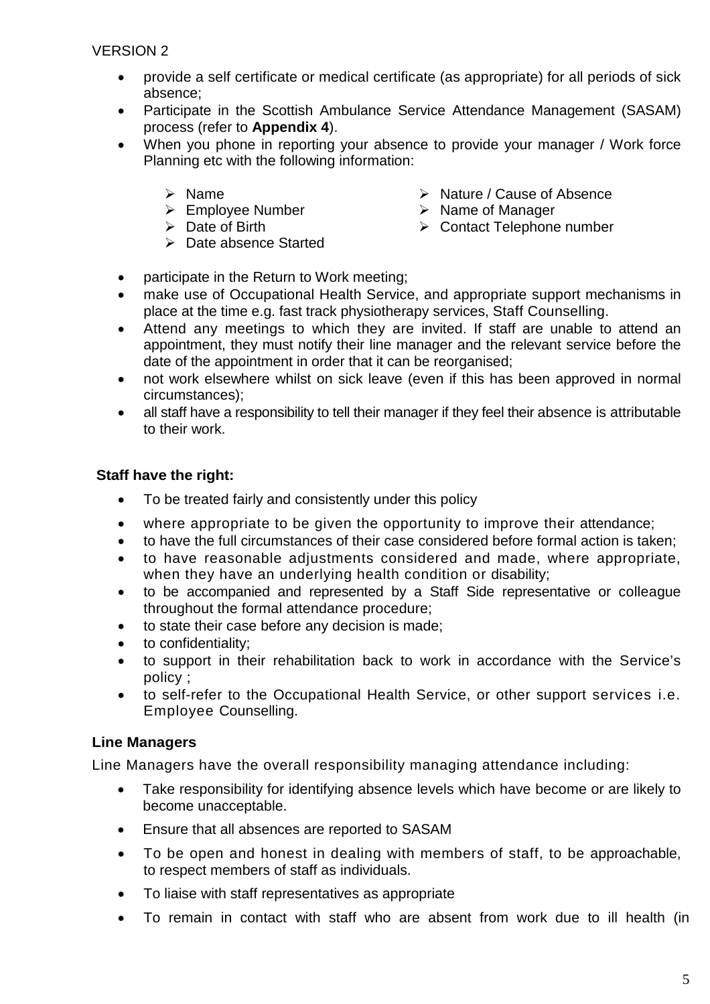- provide a self certificate or medical certificate (as appropriate) for all periods of sick absence;
- Participate in the Scottish Ambulance Service Attendance Management (SASAM) process (refer to **Appendix 4**).
- When you phone in reporting your absence to provide your manager / Work force Planning etc with the following information:
	- $\triangleright$  Name
	- $\triangleright$  Employee Number
	- $\triangleright$  Date of Birth
	- > Date absence Started
- $\triangleright$  Nature / Cause of Absence
- $\triangleright$  Name of Manager
- Contact Telephone number
- participate in the Return to Work meeting;
- make use of Occupational Health Service, and appropriate support mechanisms in place at the time e.g. fast track physiotherapy services, Staff Counselling.
- Attend any meetings to which they are invited. If staff are unable to attend an appointment, they must notify their line manager and the relevant service before the date of the appointment in order that it can be reorganised;
- not work elsewhere whilst on sick leave (even if this has been approved in normal circumstances);
- all staff have a responsibility to tell their manager if they feel their absence is attributable to their work.

# **Staff have the right:**

- To be treated fairly and consistently under this policy
- where appropriate to be given the opportunity to improve their attendance;
- to have the full circumstances of their case considered before formal action is taken;
- to have reasonable adjustments considered and made, where appropriate, when they have an underlying health condition or disability;
- to be accompanied and represented by a Staff Side representative or colleague throughout the formal attendance procedure;
- to state their case before any decision is made;
- to confidentiality;
- to support in their rehabilitation back to work in accordance with the Service's policy ;
- to self-refer to the Occupational Health Service, or other support services i.e. Employee Counselling.

# **Line Managers**

Line Managers have the overall responsibility managing attendance including:

- Take responsibility for identifying absence levels which have become or are likely to become unacceptable.
- Ensure that all absences are reported to SASAM
- To be open and honest in dealing with members of staff, to be approachable, to respect members of staff as individuals.
- To liaise with staff representatives as appropriate
- To remain in contact with staff who are absent from work due to ill health (in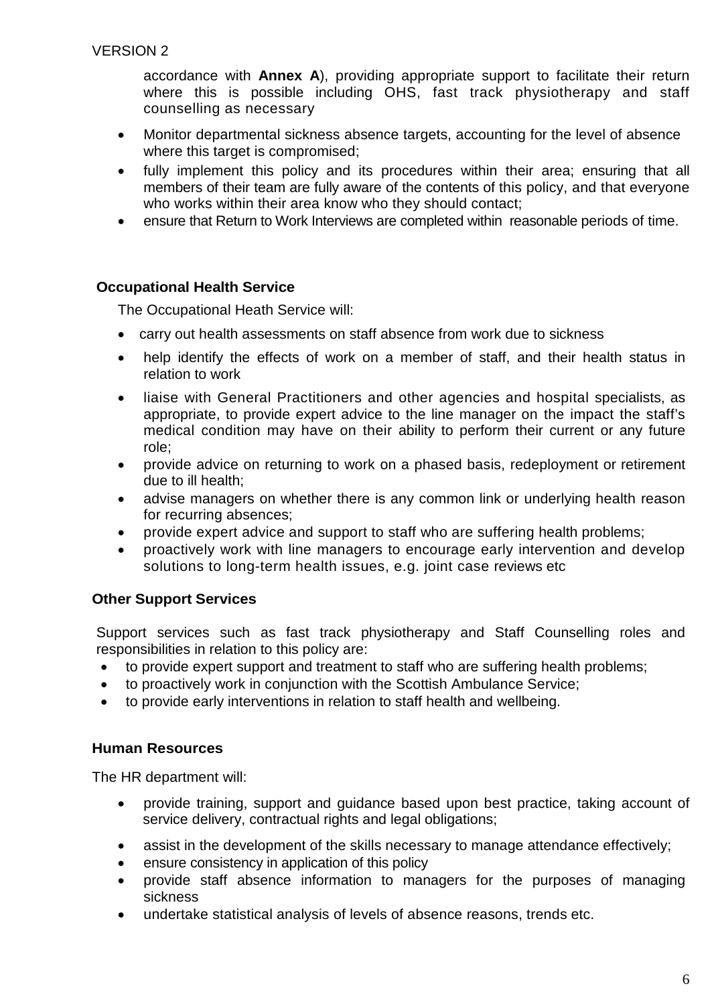accordance with **Annex A**), providing appropriate support to facilitate their return where this is possible including OHS, fast track physiotherapy and staff counselling as necessary

- Monitor departmental sickness absence targets, accounting for the level of absence where this target is compromised;
- fully implement this policy and its procedures within their area; ensuring that all members of their team are fully aware of the contents of this policy, and that everyone who works within their area know who they should contact:
- ensure that Return to Work Interviews are completed within reasonable periods of time.

### **Occupational Health Service**

The Occupational Heath Service will:

- carry out health assessments on staff absence from work due to sickness
- help identify the effects of work on a member of staff, and their health status in relation to work
- liaise with General Practitioners and other agencies and hospital specialists, as appropriate, to provide expert advice to the line manager on the impact the staff's medical condition may have on their ability to perform their current or any future role;
- provide advice on returning to work on a phased basis, redeployment or retirement due to ill health;
- advise managers on whether there is any common link or underlying health reason for recurring absences;
- provide expert advice and support to staff who are suffering health problems;
- proactively work with line managers to encourage early intervention and develop solutions to long-term health issues, e.g. joint case reviews etc

# **Other Support Services**

Support services such as fast track physiotherapy and Staff Counselling roles and responsibilities in relation to this policy are:

- to provide expert support and treatment to staff who are suffering health problems;
- to proactively work in conjunction with the Scottish Ambulance Service;
- to provide early interventions in relation to staff health and wellbeing.

# **Human Resources**

The HR department will:

- provide training, support and guidance based upon best practice, taking account of service delivery, contractual rights and legal obligations;
- assist in the development of the skills necessary to manage attendance effectively;
- ensure consistency in application of this policy
- provide staff absence information to managers for the purposes of managing sickness
- undertake statistical analysis of levels of absence reasons, trends etc.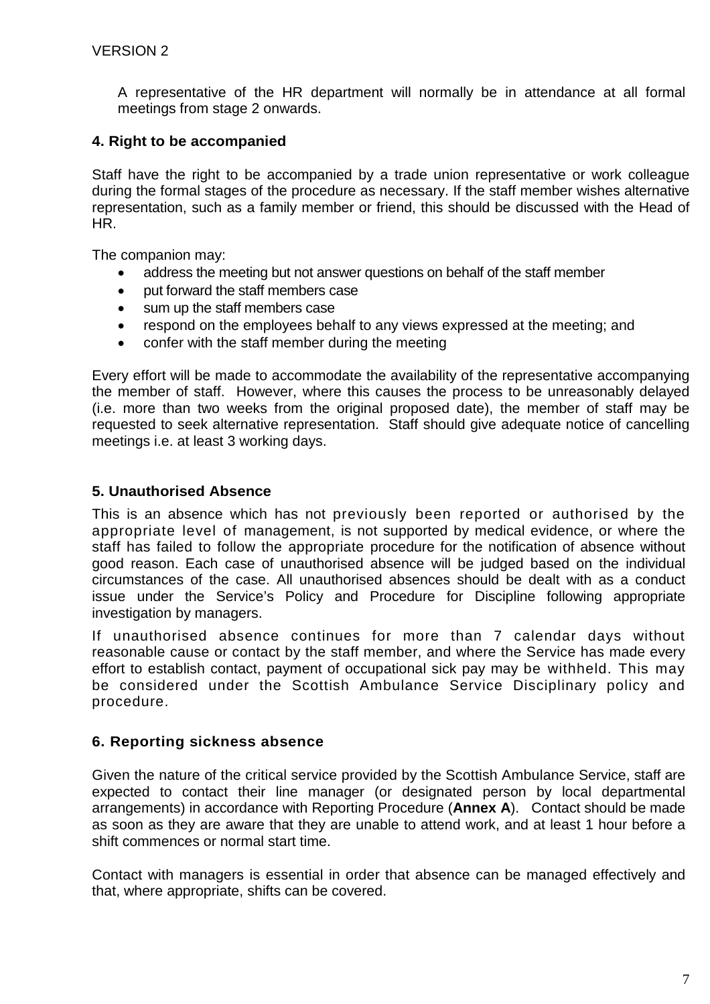A representative of the HR department will normally be in attendance at all formal meetings from stage 2 onwards.

# **4. Right to be accompanied**

Staff have the right to be accompanied by a trade union representative or work colleague during the formal stages of the procedure as necessary. If the staff member wishes alternative representation, such as a family member or friend, this should be discussed with the Head of HR.

The companion may:

- address the meeting but not answer questions on behalf of the staff member
- put forward the staff members case
- sum up the staff members case
- respond on the employees behalf to any views expressed at the meeting; and
- confer with the staff member during the meeting

Every effort will be made to accommodate the availability of the representative accompanying the member of staff. However, where this causes the process to be unreasonably delayed (i.e. more than two weeks from the original proposed date), the member of staff may be requested to seek alternative representation. Staff should give adequate notice of cancelling meetings i.e. at least 3 working days.

### **5. Unauthorised Absence**

This is an absence which has not previously been reported or authorised by the appropriate level of management, is not supported by medical evidence, or where the staff has failed to follow the appropriate procedure for the notification of absence without good reason. Each case of unauthorised absence will be judged based on the individual circumstances of the case. All unauthorised absences should be dealt with as a conduct issue under the Service's Policy and Procedure for Discipline following appropriate investigation by managers.

If unauthorised absence continues for more than 7 calendar days without reasonable cause or contact by the staff member, and where the Service has made every effort to establish contact, payment of occupational sick pay may be withheld. This may be considered under the Scottish Ambulance Service Disciplinary policy and procedure.

# **6. Reporting sickness absence**

Given the nature of the critical service provided by the Scottish Ambulance Service, staff are expected to contact their line manager (or designated person by local departmental arrangements) in accordance with Reporting Procedure (**Annex A**). Contact should be made as soon as they are aware that they are unable to attend work, and at least 1 hour before a shift commences or normal start time.

Contact with managers is essential in order that absence can be managed effectively and that, where appropriate, shifts can be covered.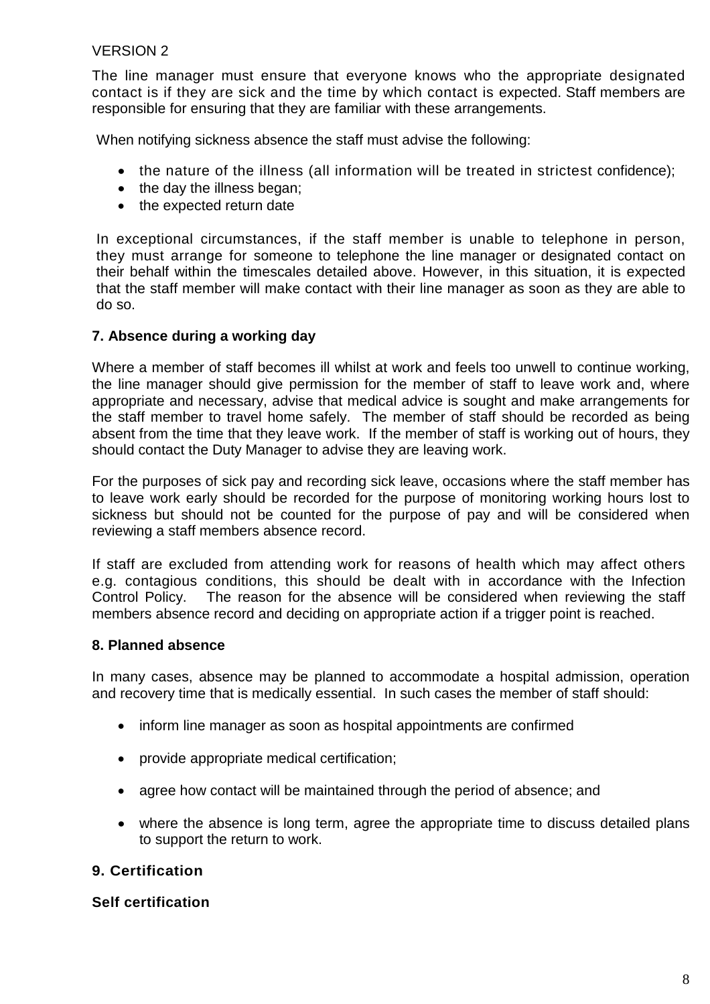The line manager must ensure that everyone knows who the appropriate designated contact is if they are sick and the time by which contact is expected. Staff members are responsible for ensuring that they are familiar with these arrangements.

When notifying sickness absence the staff must advise the following:

- the nature of the illness (all information will be treated in strictest confidence);
- the day the illness began;
- the expected return date

In exceptional circumstances, if the staff member is unable to telephone in person, they must arrange for someone to telephone the line manager or designated contact on their behalf within the timescales detailed above. However, in this situation, it is expected that the staff member will make contact with their line manager as soon as they are able to do so.

#### **7. Absence during a working day**

Where a member of staff becomes ill whilst at work and feels too unwell to continue working, the line manager should give permission for the member of staff to leave work and, where appropriate and necessary, advise that medical advice is sought and make arrangements for the staff member to travel home safely. The member of staff should be recorded as being absent from the time that they leave work. If the member of staff is working out of hours, they should contact the Duty Manager to advise they are leaving work.

For the purposes of sick pay and recording sick leave, occasions where the staff member has to leave work early should be recorded for the purpose of monitoring working hours lost to sickness but should not be counted for the purpose of pay and will be considered when reviewing a staff members absence record.

If staff are excluded from attending work for reasons of health which may affect others e.g. contagious conditions, this should be dealt with in accordance with the Infection Control Policy. The reason for the absence will be considered when reviewing the staff members absence record and deciding on appropriate action if a trigger point is reached.

#### **8. Planned absence**

In many cases, absence may be planned to accommodate a hospital admission, operation and recovery time that is medically essential. In such cases the member of staff should:

- inform line manager as soon as hospital appointments are confirmed
- provide appropriate medical certification;
- agree how contact will be maintained through the period of absence; and
- where the absence is long term, agree the appropriate time to discuss detailed plans to support the return to work.

# **9. Certification**

#### **Self certification**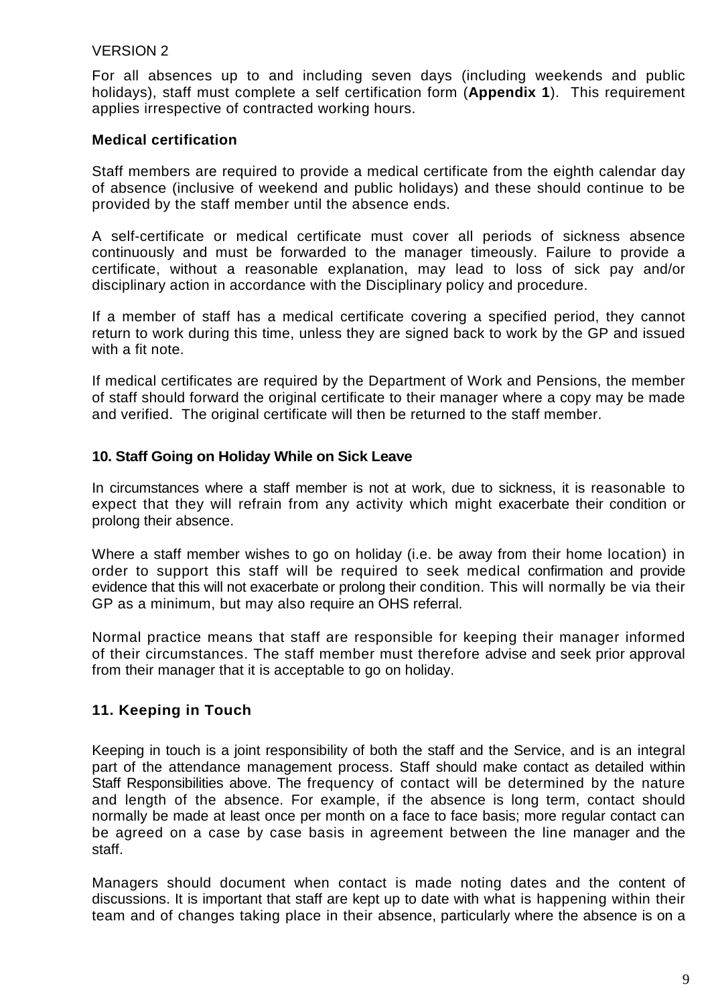For all absences up to and including seven days (including weekends and public holidays), staff must complete a self certification form (**Appendix 1**). This requirement applies irrespective of contracted working hours.

# **Medical certification**

Staff members are required to provide a medical certificate from the eighth calendar day of absence (inclusive of weekend and public holidays) and these should continue to be provided by the staff member until the absence ends.

A self-certificate or medical certificate must cover all periods of sickness absence continuously and must be forwarded to the manager timeously. Failure to provide a certificate, without a reasonable explanation, may lead to loss of sick pay and/or disciplinary action in accordance with the Disciplinary policy and procedure.

If a member of staff has a medical certificate covering a specified period, they cannot return to work during this time, unless they are signed back to work by the GP and issued with a fit note.

If medical certificates are required by the Department of Work and Pensions, the member of staff should forward the original certificate to their manager where a copy may be made and verified. The original certificate will then be returned to the staff member.

### **10. Staff Going on Holiday While on Sick Leave**

In circumstances where a staff member is not at work, due to sickness, it is reasonable to expect that they will refrain from any activity which might exacerbate their condition or prolong their absence.

Where a staff member wishes to go on holiday (i.e. be away from their home location) in order to support this staff will be required to seek medical confirmation and provide evidence that this will not exacerbate or prolong their condition. This will normally be via their GP as a minimum, but may also require an OHS referral.

Normal practice means that staff are responsible for keeping their manager informed of their circumstances. The staff member must therefore advise and seek prior approval from their manager that it is acceptable to go on holiday.

# **11. Keeping in Touch**

Keeping in touch is a joint responsibility of both the staff and the Service, and is an integral part of the attendance management process. Staff should make contact as detailed within Staff Responsibilities above. The frequency of contact will be determined by the nature and length of the absence. For example, if the absence is long term, contact should normally be made at least once per month on a face to face basis; more regular contact can be agreed on a case by case basis in agreement between the line manager and the staff.

Managers should document when contact is made noting dates and the content of discussions. It is important that staff are kept up to date with what is happening within their team and of changes taking place in their absence, particularly where the absence is on a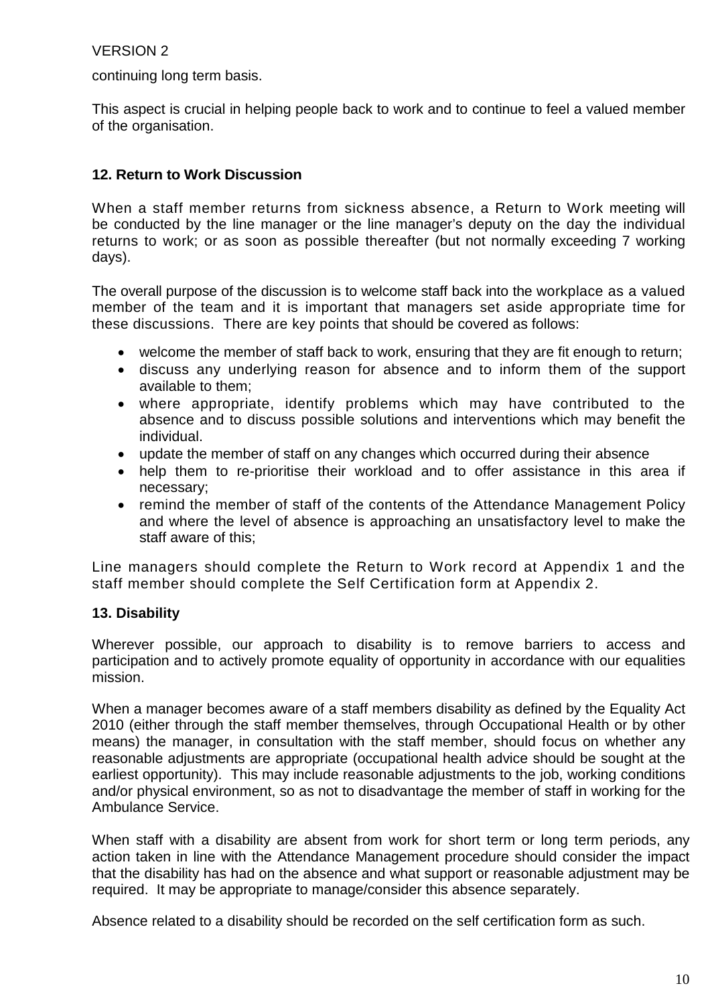continuing long term basis.

This aspect is crucial in helping people back to work and to continue to feel a valued member of the organisation.

# **12. Return to Work Discussion**

When a staff member returns from sickness absence, a Return to Work meeting will be conducted by the line manager or the line manager's deputy on the day the individual returns to work; or as soon as possible thereafter (but not normally exceeding 7 working days).

The overall purpose of the discussion is to welcome staff back into the workplace as a valued member of the team and it is important that managers set aside appropriate time for these discussions. There are key points that should be covered as follows:

- welcome the member of staff back to work, ensuring that they are fit enough to return;
- discuss any underlying reason for absence and to inform them of the support available to them;
- where appropriate, identify problems which may have contributed to the absence and to discuss possible solutions and interventions which may benefit the individual.
- update the member of staff on any changes which occurred during their absence
- help them to re-prioritise their workload and to offer assistance in this area if necessary;
- remind the member of staff of the contents of the Attendance Management Policy and where the level of absence is approaching an unsatisfactory level to make the staff aware of this;

Line managers should complete the Return to Work record at Appendix 1 and the staff member should complete the Self Certification form at Appendix 2.

# **13. Disability**

Wherever possible, our approach to disability is to remove barriers to access and participation and to actively promote equality of opportunity in accordance with our equalities mission.

When a manager becomes aware of a staff members disability as defined by the Equality Act 2010 (either through the staff member themselves, through Occupational Health or by other means) the manager, in consultation with the staff member, should focus on whether any reasonable adjustments are appropriate (occupational health advice should be sought at the earliest opportunity). This may include reasonable adjustments to the job, working conditions and/or physical environment, so as not to disadvantage the member of staff in working for the Ambulance Service.

When staff with a disability are absent from work for short term or long term periods, any action taken in line with the Attendance Management procedure should consider the impact that the disability has had on the absence and what support or reasonable adjustment may be required. It may be appropriate to manage/consider this absence separately.

Absence related to a disability should be recorded on the self certification form as such.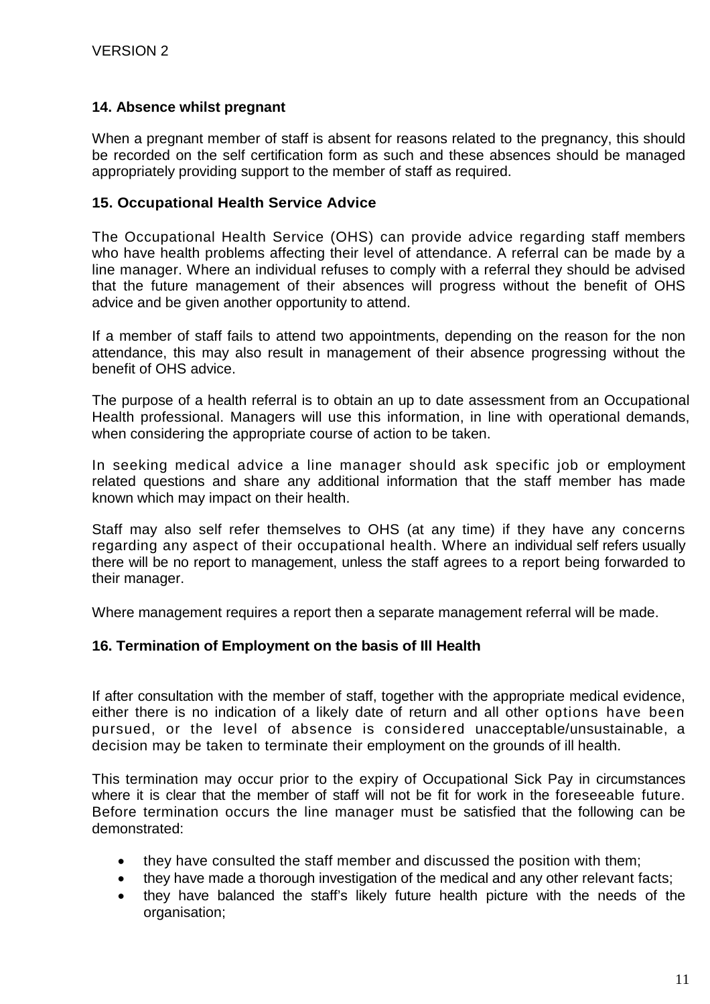### **14. Absence whilst pregnant**

When a pregnant member of staff is absent for reasons related to the pregnancy, this should be recorded on the self certification form as such and these absences should be managed appropriately providing support to the member of staff as required.

#### **15. Occupational Health Service Advice**

The Occupational Health Service (OHS) can provide advice regarding staff members who have health problems affecting their level of attendance. A referral can be made by a line manager. Where an individual refuses to comply with a referral they should be advised that the future management of their absences will progress without the benefit of OHS advice and be given another opportunity to attend.

If a member of staff fails to attend two appointments, depending on the reason for the non attendance, this may also result in management of their absence progressing without the benefit of OHS advice.

The purpose of a health referral is to obtain an up to date assessment from an Occupational Health professional. Managers will use this information, in line with operational demands, when considering the appropriate course of action to be taken.

In seeking medical advice a line manager should ask specific job or employment related questions and share any additional information that the staff member has made known which may impact on their health.

Staff may also self refer themselves to OHS (at any time) if they have any concerns regarding any aspect of their occupational health. Where an individual self refers usually there will be no report to management, unless the staff agrees to a report being forwarded to their manager.

Where management requires a report then a separate management referral will be made.

#### **16. Termination of Employment on the basis of Ill Health**

If after consultation with the member of staff, together with the appropriate medical evidence, either there is no indication of a likely date of return and all other options have been pursued, or the level of absence is considered unacceptable/unsustainable, a decision may be taken to terminate their employment on the grounds of ill health.

This termination may occur prior to the expiry of Occupational Sick Pay in circumstances where it is clear that the member of staff will not be fit for work in the foreseeable future. Before termination occurs the line manager must be satisfied that the following can be demonstrated:

- they have consulted the staff member and discussed the position with them;
- they have made a thorough investigation of the medical and any other relevant facts;
- they have balanced the staff's likely future health picture with the needs of the organisation;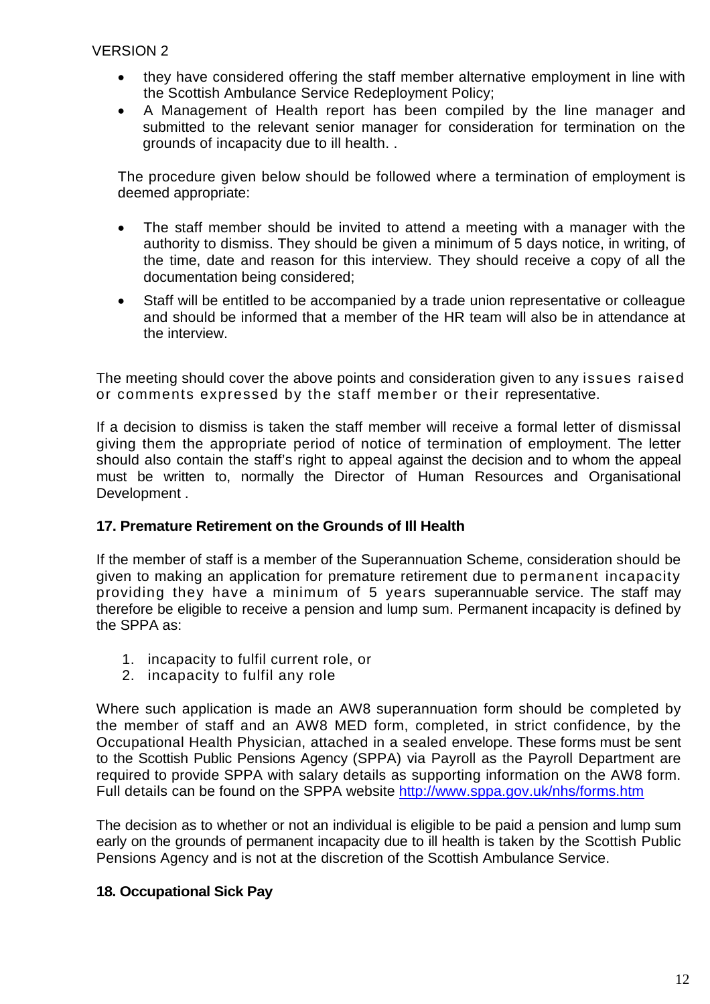- they have considered offering the staff member alternative employment in line with the Scottish Ambulance Service Redeployment Policy;
- A Management of Health report has been compiled by the line manager and submitted to the relevant senior manager for consideration for termination on the grounds of incapacity due to ill health. .

The procedure given below should be followed where a termination of employment is deemed appropriate:

- The staff member should be invited to attend a meeting with a manager with the authority to dismiss. They should be given a minimum of 5 days notice, in writing, of the time, date and reason for this interview. They should receive a copy of all the documentation being considered;
- Staff will be entitled to be accompanied by a trade union representative or colleague and should be informed that a member of the HR team will also be in attendance at the interview.

The meeting should cover the above points and consideration given to any issues raised or comments expressed by the staff member or their representative.

If a decision to dismiss is taken the staff member will receive a formal letter of dismissal giving them the appropriate period of notice of termination of employment. The letter should also contain the staff's right to appeal against the decision and to whom the appeal must be written to, normally the Director of Human Resources and Organisational Development .

# **17. Premature Retirement on the Grounds of Ill Health**

If the member of staff is a member of the Superannuation Scheme, consideration should be given to making an application for premature retirement due to permanent incapacity providing they have a minimum of 5 years superannuable service. The staff may therefore be eligible to receive a pension and lump sum. Permanent incapacity is defined by the SPPA as:

- 1. incapacity to fulfil current role, or
- 2. incapacity to fulfil any role

Where such application is made an AW8 superannuation form should be completed by the member of staff and an AW8 MED form, completed, in strict confidence, by the Occupational Health Physician, attached in a sealed envelope. These forms must be sent to the Scottish Public Pensions Agency (SPPA) via Payroll as the Payroll Department are required to provide SPPA with salary details as supporting information on the AW8 form. Full details can be found on the SPPA website http://www.sppa.gov.uk/nhs/forms.htm

The decision as to whether or not an individual is eligible to be paid a pension and lump sum early on the grounds of permanent incapacity due to ill health is taken by the Scottish Public Pensions Agency and is not at the discretion of the Scottish Ambulance Service.

# **18. Occupational Sick Pay**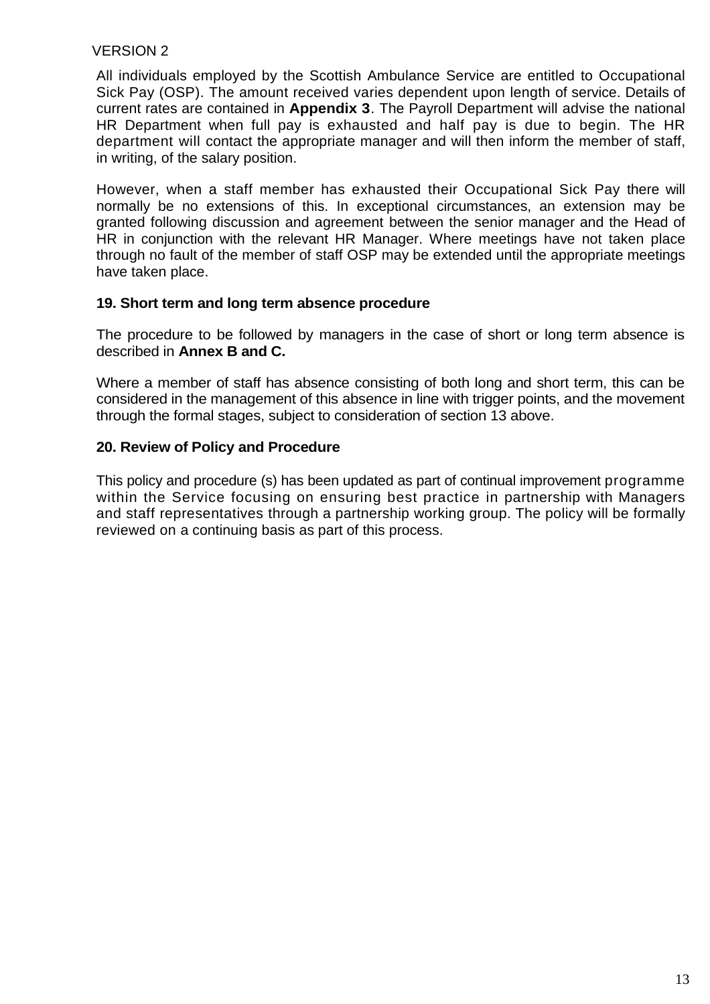All individuals employed by the Scottish Ambulance Service are entitled to Occupational Sick Pay (OSP). The amount received varies dependent upon length of service. Details of current rates are contained in **Appendix 3**. The Payroll Department will advise the national HR Department when full pay is exhausted and half pay is due to begin. The HR department will contact the appropriate manager and will then inform the member of staff, in writing, of the salary position.

However, when a staff member has exhausted their Occupational Sick Pay there will normally be no extensions of this. In exceptional circumstances, an extension may be granted following discussion and agreement between the senior manager and the Head of HR in conjunction with the relevant HR Manager. Where meetings have not taken place through no fault of the member of staff OSP may be extended until the appropriate meetings have taken place.

### **19. Short term and long term absence procedure**

The procedure to be followed by managers in the case of short or long term absence is described in **Annex B and C.**

Where a member of staff has absence consisting of both long and short term, this can be considered in the management of this absence in line with trigger points, and the movement through the formal stages, subject to consideration of section 13 above.

# **20. Review of Policy and Procedure**

This policy and procedure (s) has been updated as part of continual improvement programme within the Service focusing on ensuring best practice in partnership with Managers and staff representatives through a partnership working group. The policy will be formally reviewed on a continuing basis as part of this process.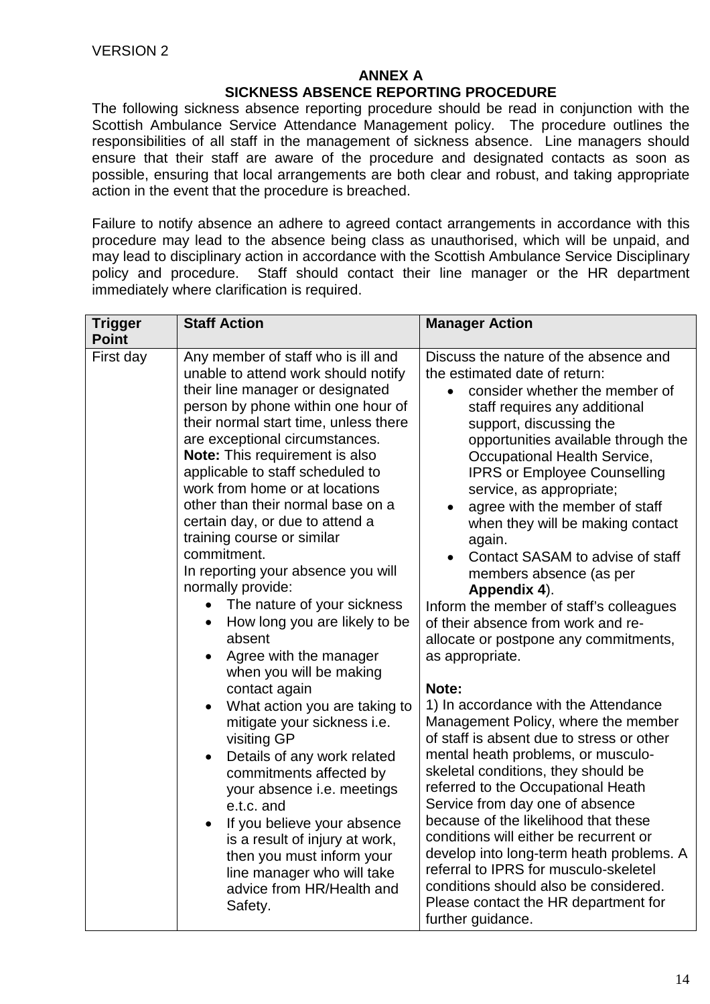# **ANNEX A**

#### **SICKNESS ABSENCE REPORTING PROCEDURE**

The following sickness absence reporting procedure should be read in conjunction with the Scottish Ambulance Service Attendance Management policy. The procedure outlines the responsibilities of all staff in the management of sickness absence. Line managers should ensure that their staff are aware of the procedure and designated contacts as soon as possible, ensuring that local arrangements are both clear and robust, and taking appropriate action in the event that the procedure is breached.

Failure to notify absence an adhere to agreed contact arrangements in accordance with this procedure may lead to the absence being class as unauthorised, which will be unpaid, and may lead to disciplinary action in accordance with the Scottish Ambulance Service Disciplinary policy and procedure. Staff should contact their line manager or the HR department immediately where clarification is required.

| <b>Trigger</b><br><b>Point</b> | <b>Staff Action</b>                                                                                                                                                                                                                                                                                                                                                                                                                                                                                                                                                                                                                                                                                                                                                                                                                                                                                                                                                                                                                                                                                                  | <b>Manager Action</b>                                                                                                                                                                                                                                                                                                                                                                                                                                                                                                                                                                                                                                                                                                                                                                                                                                                                                                                                                                                                                                                                                                                                                                              |
|--------------------------------|----------------------------------------------------------------------------------------------------------------------------------------------------------------------------------------------------------------------------------------------------------------------------------------------------------------------------------------------------------------------------------------------------------------------------------------------------------------------------------------------------------------------------------------------------------------------------------------------------------------------------------------------------------------------------------------------------------------------------------------------------------------------------------------------------------------------------------------------------------------------------------------------------------------------------------------------------------------------------------------------------------------------------------------------------------------------------------------------------------------------|----------------------------------------------------------------------------------------------------------------------------------------------------------------------------------------------------------------------------------------------------------------------------------------------------------------------------------------------------------------------------------------------------------------------------------------------------------------------------------------------------------------------------------------------------------------------------------------------------------------------------------------------------------------------------------------------------------------------------------------------------------------------------------------------------------------------------------------------------------------------------------------------------------------------------------------------------------------------------------------------------------------------------------------------------------------------------------------------------------------------------------------------------------------------------------------------------|
| First day                      | Any member of staff who is ill and<br>unable to attend work should notify<br>their line manager or designated<br>person by phone within one hour of<br>their normal start time, unless there<br>are exceptional circumstances.<br><b>Note:</b> This requirement is also<br>applicable to staff scheduled to<br>work from home or at locations<br>other than their normal base on a<br>certain day, or due to attend a<br>training course or similar<br>commitment.<br>In reporting your absence you will<br>normally provide:<br>The nature of your sickness<br>$\bullet$<br>How long you are likely to be<br>$\bullet$<br>absent<br>Agree with the manager<br>$\bullet$<br>when you will be making<br>contact again<br>What action you are taking to<br>$\bullet$<br>mitigate your sickness i.e.<br>visiting GP<br>Details of any work related<br>$\bullet$<br>commitments affected by<br>your absence i.e. meetings<br>e.t.c. and<br>If you believe your absence<br>$\bullet$<br>is a result of injury at work,<br>then you must inform your<br>line manager who will take<br>advice from HR/Health and<br>Safety. | Discuss the nature of the absence and<br>the estimated date of return:<br>consider whether the member of<br>staff requires any additional<br>support, discussing the<br>opportunities available through the<br>Occupational Health Service,<br><b>IPRS or Employee Counselling</b><br>service, as appropriate;<br>agree with the member of staff<br>when they will be making contact<br>again.<br>Contact SASAM to advise of staff<br>members absence (as per<br>Appendix 4).<br>Inform the member of staff's colleagues<br>of their absence from work and re-<br>allocate or postpone any commitments,<br>as appropriate.<br>Note:<br>1) In accordance with the Attendance<br>Management Policy, where the member<br>of staff is absent due to stress or other<br>mental heath problems, or musculo-<br>skeletal conditions, they should be<br>referred to the Occupational Heath<br>Service from day one of absence<br>because of the likelihood that these<br>conditions will either be recurrent or<br>develop into long-term heath problems. A<br>referral to IPRS for musculo-skeletel<br>conditions should also be considered.<br>Please contact the HR department for<br>further guidance. |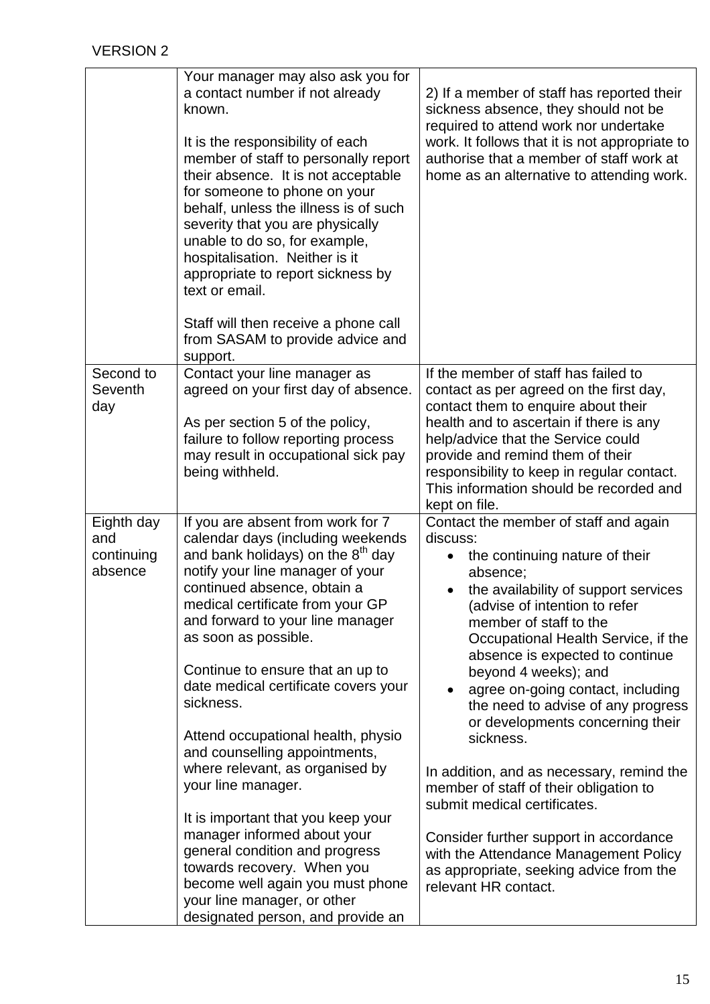|                                            | Your manager may also ask you for<br>a contact number if not already<br>known.<br>It is the responsibility of each<br>member of staff to personally report<br>their absence. It is not acceptable<br>for someone to phone on your<br>behalf, unless the illness is of such<br>severity that you are physically<br>unable to do so, for example,<br>hospitalisation. Neither is it<br>appropriate to report sickness by<br>text or email.<br>Staff will then receive a phone call                                                                                                                                                                                                                                                                                 | 2) If a member of staff has reported their<br>sickness absence, they should not be<br>required to attend work nor undertake<br>work. It follows that it is not appropriate to<br>authorise that a member of staff work at<br>home as an alternative to attending work.                                                                                                                                                                                                                                                                                                                                                                                                                                        |  |
|--------------------------------------------|------------------------------------------------------------------------------------------------------------------------------------------------------------------------------------------------------------------------------------------------------------------------------------------------------------------------------------------------------------------------------------------------------------------------------------------------------------------------------------------------------------------------------------------------------------------------------------------------------------------------------------------------------------------------------------------------------------------------------------------------------------------|---------------------------------------------------------------------------------------------------------------------------------------------------------------------------------------------------------------------------------------------------------------------------------------------------------------------------------------------------------------------------------------------------------------------------------------------------------------------------------------------------------------------------------------------------------------------------------------------------------------------------------------------------------------------------------------------------------------|--|
|                                            | from SASAM to provide advice and<br>support.                                                                                                                                                                                                                                                                                                                                                                                                                                                                                                                                                                                                                                                                                                                     |                                                                                                                                                                                                                                                                                                                                                                                                                                                                                                                                                                                                                                                                                                               |  |
| Second to<br>Seventh<br>day                | Contact your line manager as<br>agreed on your first day of absence.<br>As per section 5 of the policy,<br>failure to follow reporting process<br>may result in occupational sick pay<br>being withheld.                                                                                                                                                                                                                                                                                                                                                                                                                                                                                                                                                         | If the member of staff has failed to<br>contact as per agreed on the first day,<br>contact them to enquire about their<br>health and to ascertain if there is any<br>help/advice that the Service could<br>provide and remind them of their<br>responsibility to keep in regular contact.<br>This information should be recorded and<br>kept on file.                                                                                                                                                                                                                                                                                                                                                         |  |
| Eighth day<br>and<br>continuing<br>absence | If you are absent from work for 7<br>calendar days (including weekends<br>and bank holidays) on the 8 <sup>th</sup> day<br>notify your line manager of your<br>continued absence, obtain a<br>medical certificate from your GP<br>and forward to your line manager<br>as soon as possible.<br>Continue to ensure that an up to<br>date medical certificate covers your<br>sickness.<br>Attend occupational health, physio<br>and counselling appointments,<br>where relevant, as organised by<br>your line manager.<br>It is important that you keep your<br>manager informed about your<br>general condition and progress<br>towards recovery. When you<br>become well again you must phone<br>your line manager, or other<br>designated person, and provide an | Contact the member of staff and again<br>discuss:<br>the continuing nature of their<br>absence;<br>the availability of support services<br>(advise of intention to refer<br>member of staff to the<br>Occupational Health Service, if the<br>absence is expected to continue<br>beyond 4 weeks); and<br>agree on-going contact, including<br>the need to advise of any progress<br>or developments concerning their<br>sickness.<br>In addition, and as necessary, remind the<br>member of staff of their obligation to<br>submit medical certificates.<br>Consider further support in accordance<br>with the Attendance Management Policy<br>as appropriate, seeking advice from the<br>relevant HR contact. |  |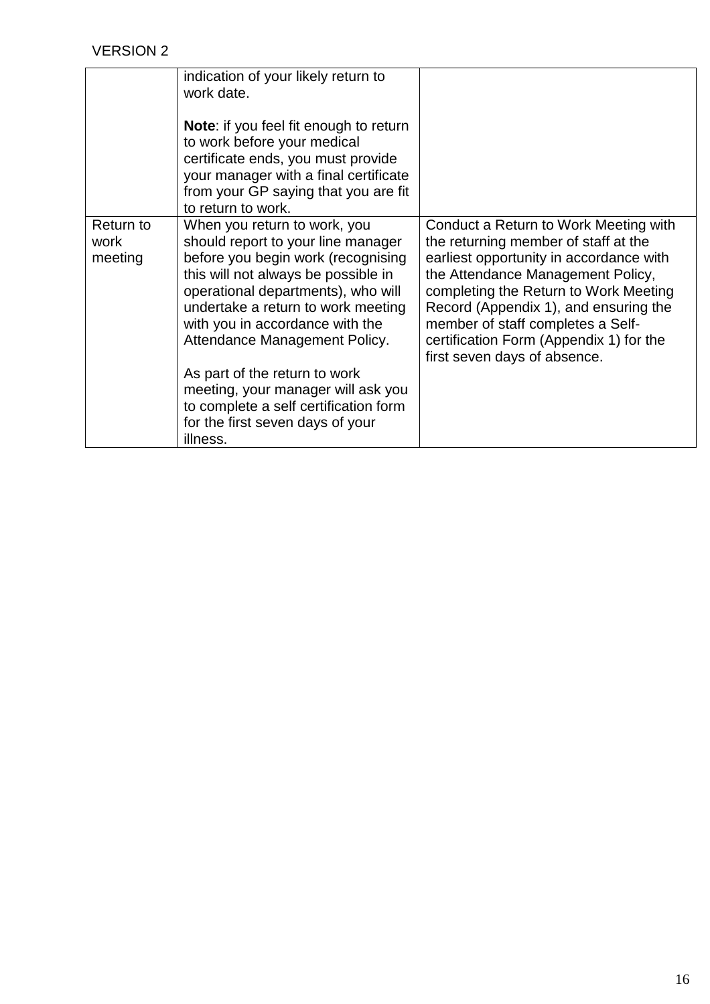|                              | indication of your likely return to<br>work date.<br><b>Note:</b> if you feel fit enough to return<br>to work before your medical<br>certificate ends, you must provide<br>your manager with a final certificate<br>from your GP saying that you are fit<br>to return to work.                                                                                                                                                                                  |                                                                                                                                                                                                                                                                                                                                                                 |
|------------------------------|-----------------------------------------------------------------------------------------------------------------------------------------------------------------------------------------------------------------------------------------------------------------------------------------------------------------------------------------------------------------------------------------------------------------------------------------------------------------|-----------------------------------------------------------------------------------------------------------------------------------------------------------------------------------------------------------------------------------------------------------------------------------------------------------------------------------------------------------------|
| Return to<br>work<br>meeting | When you return to work, you<br>should report to your line manager<br>before you begin work (recognising<br>this will not always be possible in<br>operational departments), who will<br>undertake a return to work meeting<br>with you in accordance with the<br>Attendance Management Policy.<br>As part of the return to work<br>meeting, your manager will ask you<br>to complete a self certification form<br>for the first seven days of your<br>illness. | Conduct a Return to Work Meeting with<br>the returning member of staff at the<br>earliest opportunity in accordance with<br>the Attendance Management Policy,<br>completing the Return to Work Meeting<br>Record (Appendix 1), and ensuring the<br>member of staff completes a Self-<br>certification Form (Appendix 1) for the<br>first seven days of absence. |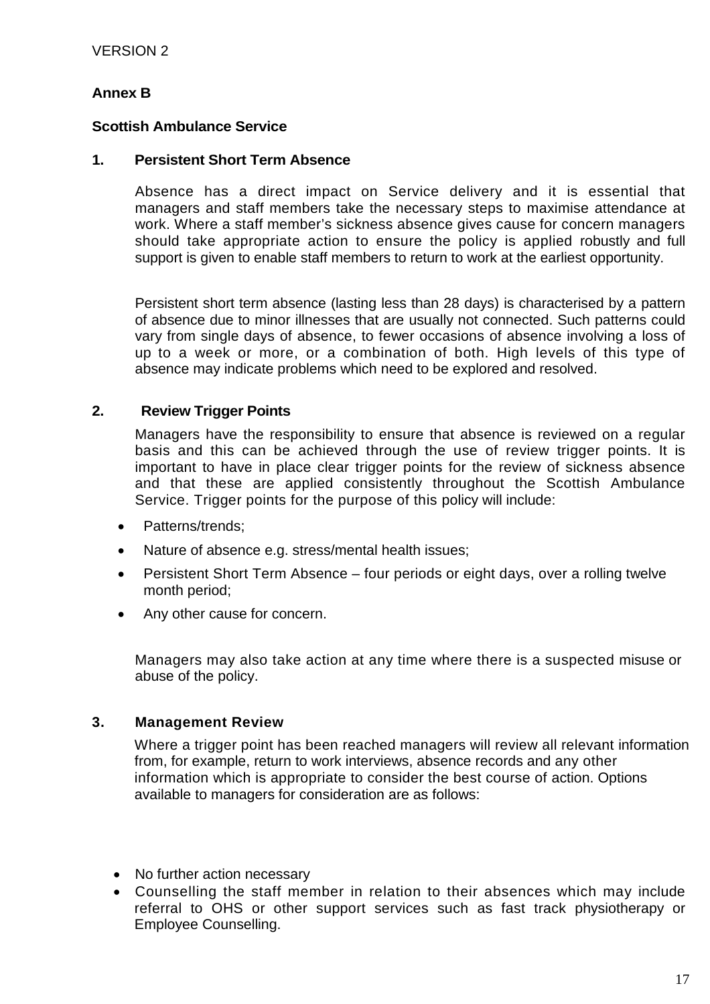# **Annex B**

### **Scottish Ambulance Service**

#### **1. Persistent Short Term Absence**

Absence has a direct impact on Service delivery and it is essential that managers and staff members take the necessary steps to maximise attendance at work. Where a staff member's sickness absence gives cause for concern managers should take appropriate action to ensure the policy is applied robustly and full support is given to enable staff members to return to work at the earliest opportunity.

Persistent short term absence (lasting less than 28 days) is characterised by a pattern of absence due to minor illnesses that are usually not connected. Such patterns could vary from single days of absence, to fewer occasions of absence involving a loss of up to a week or more, or a combination of both. High levels of this type of absence may indicate problems which need to be explored and resolved.

### **2. Review Trigger Points**

Managers have the responsibility to ensure that absence is reviewed on a regular basis and this can be achieved through the use of review trigger points. It is important to have in place clear trigger points for the review of sickness absence and that these are applied consistently throughout the Scottish Ambulance Service. Trigger points for the purpose of this policy will include:

- Patterns/trends;
- Nature of absence e.g. stress/mental health issues;
- Persistent Short Term Absence four periods or eight days, over a rolling twelve month period;
- Any other cause for concern.

Managers may also take action at any time where there is a suspected misuse or abuse of the policy.

#### **3. Management Review**

Where a trigger point has been reached managers will review all relevant information from, for example, return to work interviews, absence records and any other information which is appropriate to consider the best course of action. Options available to managers for consideration are as follows:

- No further action necessary
- Counselling the staff member in relation to their absences which may include referral to OHS or other support services such as fast track physiotherapy or Employee Counselling.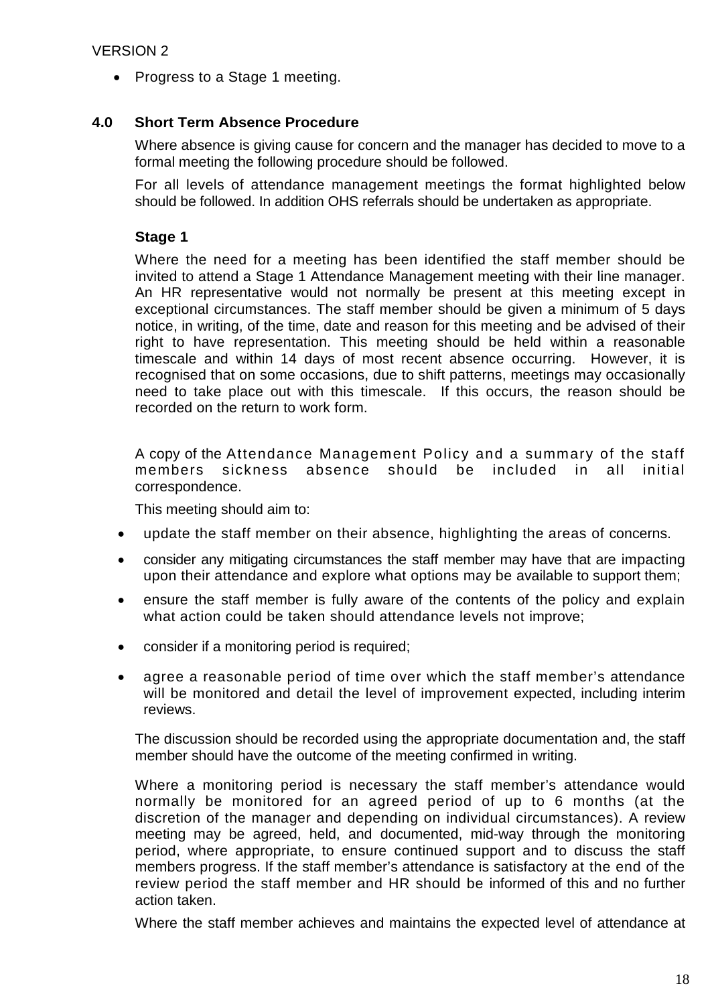• Progress to a Stage 1 meeting.

# **4.0 Short Term Absence Procedure**

Where absence is giving cause for concern and the manager has decided to move to a formal meeting the following procedure should be followed.

For all levels of attendance management meetings the format highlighted below should be followed. In addition OHS referrals should be undertaken as appropriate.

# **Stage 1**

Where the need for a meeting has been identified the staff member should be invited to attend a Stage 1 Attendance Management meeting with their line manager. An HR representative would not normally be present at this meeting except in exceptional circumstances. The staff member should be given a minimum of 5 days notice, in writing, of the time, date and reason for this meeting and be advised of their right to have representation. This meeting should be held within a reasonable timescale and within 14 days of most recent absence occurring. However, it is recognised that on some occasions, due to shift patterns, meetings may occasionally need to take place out with this timescale. If this occurs, the reason should be recorded on the return to work form.

A copy of the Attendance Management Policy and a summary of the staff members sickness absence should be included in all initial correspondence.

This meeting should aim to:

- update the staff member on their absence, highlighting the areas of concerns.
- consider any mitigating circumstances the staff member may have that are impacting upon their attendance and explore what options may be available to support them;
- ensure the staff member is fully aware of the contents of the policy and explain what action could be taken should attendance levels not improve;
- consider if a monitoring period is required;
- agree a reasonable period of time over which the staff member's attendance will be monitored and detail the level of improvement expected, including interim reviews.

The discussion should be recorded using the appropriate documentation and, the staff member should have the outcome of the meeting confirmed in writing.

Where a monitoring period is necessary the staff member's attendance would normally be monitored for an agreed period of up to 6 months (at the discretion of the manager and depending on individual circumstances). A review meeting may be agreed, held, and documented, mid-way through the monitoring period, where appropriate, to ensure continued support and to discuss the staff members progress. If the staff member's attendance is satisfactory at the end of the review period the staff member and HR should be informed of this and no further action taken.

Where the staff member achieves and maintains the expected level of attendance at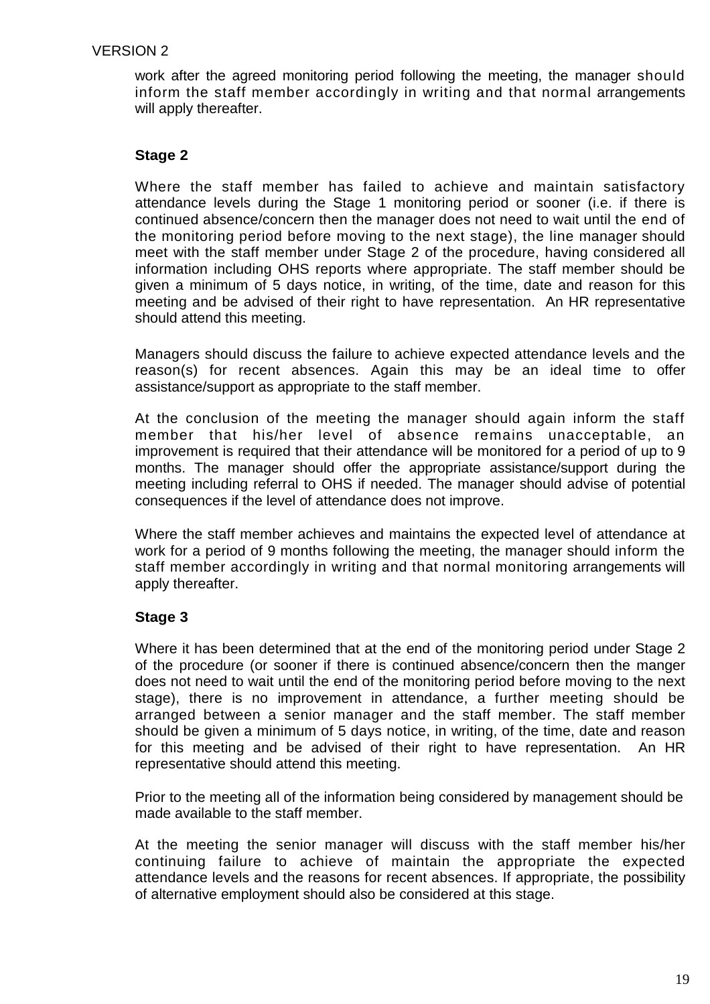work after the agreed monitoring period following the meeting, the manager should inform the staff member accordingly in writing and that normal arrangements will apply thereafter.

# **Stage 2**

Where the staff member has failed to achieve and maintain satisfactory attendance levels during the Stage 1 monitoring period or sooner (i.e. if there is continued absence/concern then the manager does not need to wait until the end of the monitoring period before moving to the next stage), the line manager should meet with the staff member under Stage 2 of the procedure, having considered all information including OHS reports where appropriate. The staff member should be given a minimum of 5 days notice, in writing, of the time, date and reason for this meeting and be advised of their right to have representation. An HR representative should attend this meeting.

Managers should discuss the failure to achieve expected attendance levels and the reason(s) for recent absences. Again this may be an ideal time to offer assistance/support as appropriate to the staff member.

At the conclusion of the meeting the manager should again inform the staff member that his/her level of absence remains unacceptable, an improvement is required that their attendance will be monitored for a period of up to 9 months. The manager should offer the appropriate assistance/support during the meeting including referral to OHS if needed. The manager should advise of potential consequences if the level of attendance does not improve.

Where the staff member achieves and maintains the expected level of attendance at work for a period of 9 months following the meeting, the manager should inform the staff member accordingly in writing and that normal monitoring arrangements will apply thereafter.

# **Stage 3**

Where it has been determined that at the end of the monitoring period under Stage 2 of the procedure (or sooner if there is continued absence/concern then the manger does not need to wait until the end of the monitoring period before moving to the next stage), there is no improvement in attendance, a further meeting should be arranged between a senior manager and the staff member. The staff member should be given a minimum of 5 days notice, in writing, of the time, date and reason for this meeting and be advised of their right to have representation. An HR representative should attend this meeting.

Prior to the meeting all of the information being considered by management should be made available to the staff member.

At the meeting the senior manager will discuss with the staff member his/her continuing failure to achieve of maintain the appropriate the expected attendance levels and the reasons for recent absences. If appropriate, the possibility of alternative employment should also be considered at this stage.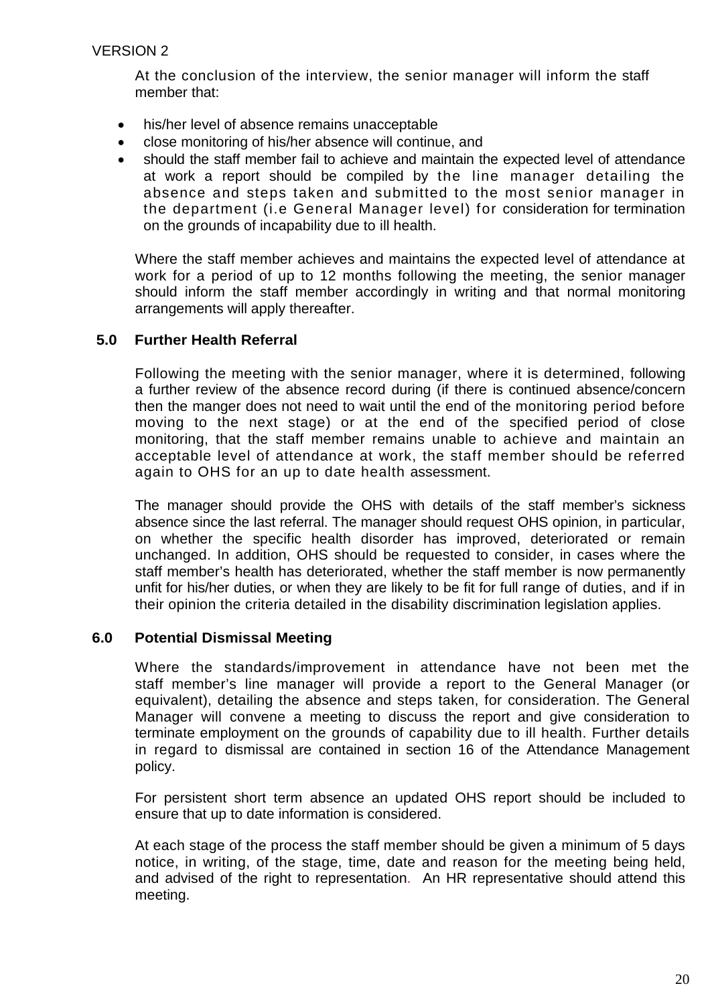At the conclusion of the interview, the senior manager will inform the staff member that:

- his/her level of absence remains unacceptable
- close monitoring of his/her absence will continue, and
- should the staff member fail to achieve and maintain the expected level of attendance at work a report should be compiled by the line manager detailing the absence and steps taken and submitted to the most senior manager in the department (i.e General Manager level) for consideration for termination on the grounds of incapability due to ill health.

Where the staff member achieves and maintains the expected level of attendance at work for a period of up to 12 months following the meeting, the senior manager should inform the staff member accordingly in writing and that normal monitoring arrangements will apply thereafter.

### **5.0 Further Health Referral**

Following the meeting with the senior manager, where it is determined, following a further review of the absence record during (if there is continued absence/concern then the manger does not need to wait until the end of the monitoring period before moving to the next stage) or at the end of the specified period of close monitoring, that the staff member remains unable to achieve and maintain an acceptable level of attendance at work, the staff member should be referred again to OHS for an up to date health assessment.

The manager should provide the OHS with details of the staff member's sickness absence since the last referral. The manager should request OHS opinion, in particular, on whether the specific health disorder has improved, deteriorated or remain unchanged. In addition, OHS should be requested to consider, in cases where the staff member's health has deteriorated, whether the staff member is now permanently unfit for his/her duties, or when they are likely to be fit for full range of duties, and if in their opinion the criteria detailed in the disability discrimination legislation applies.

#### **6.0 Potential Dismissal Meeting**

Where the standards/improvement in attendance have not been met the staff member's line manager will provide a report to the General Manager (or equivalent), detailing the absence and steps taken, for consideration. The General Manager will convene a meeting to discuss the report and give consideration to terminate employment on the grounds of capability due to ill health. Further details in regard to dismissal are contained in section 16 of the Attendance Management policy.

For persistent short term absence an updated OHS report should be included to ensure that up to date information is considered.

At each stage of the process the staff member should be given a minimum of 5 days notice, in writing, of the stage, time, date and reason for the meeting being held, and advised of the right to representation. An HR representative should attend this meeting.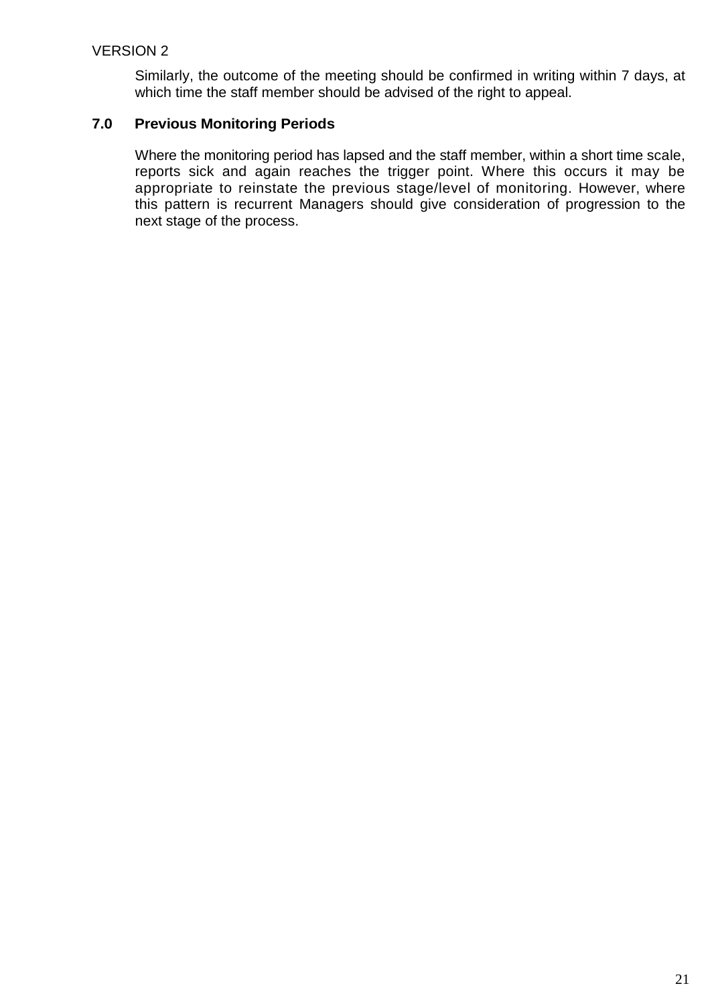Similarly, the outcome of the meeting should be confirmed in writing within 7 days, at which time the staff member should be advised of the right to appeal.

# **7.0 Previous Monitoring Periods**

Where the monitoring period has lapsed and the staff member, within a short time scale, reports sick and again reaches the trigger point. Where this occurs it may be appropriate to reinstate the previous stage/level of monitoring. However, where this pattern is recurrent Managers should give consideration of progression to the next stage of the process.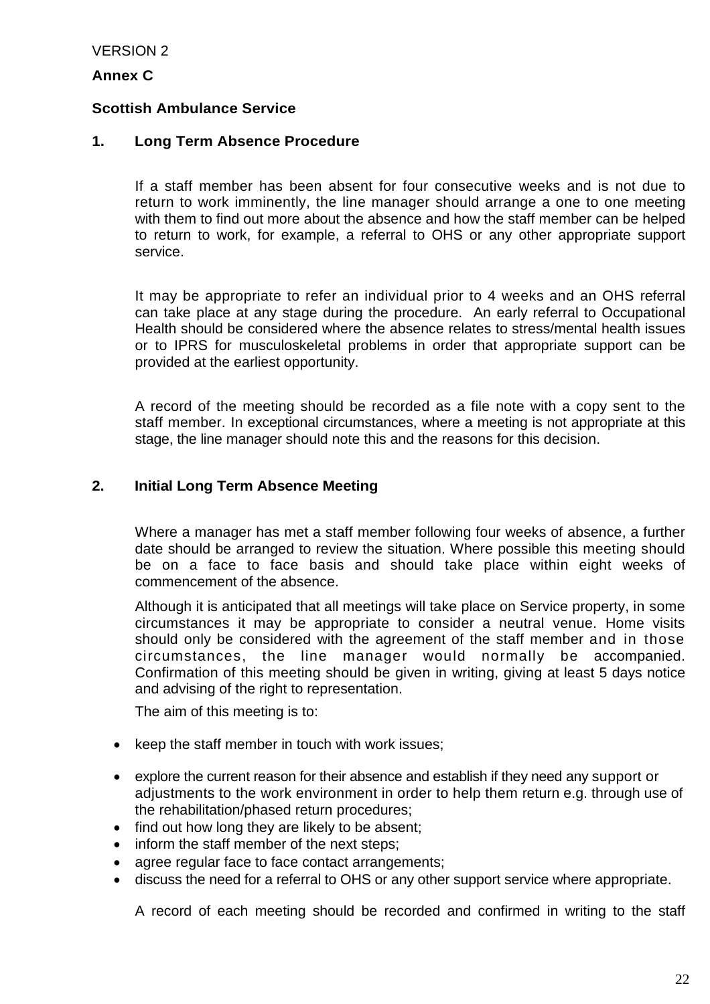#### **Annex C**

### **Scottish Ambulance Service**

#### **1. Long Term Absence Procedure**

If a staff member has been absent for four consecutive weeks and is not due to return to work imminently, the line manager should arrange a one to one meeting with them to find out more about the absence and how the staff member can be helped to return to work, for example, a referral to OHS or any other appropriate support service.

It may be appropriate to refer an individual prior to 4 weeks and an OHS referral can take place at any stage during the procedure. An early referral to Occupational Health should be considered where the absence relates to stress/mental health issues or to IPRS for musculoskeletal problems in order that appropriate support can be provided at the earliest opportunity.

A record of the meeting should be recorded as a file note with a copy sent to the staff member. In exceptional circumstances, where a meeting is not appropriate at this stage, the line manager should note this and the reasons for this decision.

### **2. Initial Long Term Absence Meeting**

Where a manager has met a staff member following four weeks of absence, a further date should be arranged to review the situation. Where possible this meeting should be on a face to face basis and should take place within eight weeks of commencement of the absence.

Although it is anticipated that all meetings will take place on Service property, in some circumstances it may be appropriate to consider a neutral venue. Home visits should only be considered with the agreement of the staff member and in those circumstances, the line manager would normally be accompanied. Confirmation of this meeting should be given in writing, giving at least 5 days notice and advising of the right to representation.

The aim of this meeting is to:

- keep the staff member in touch with work issues;
- explore the current reason for their absence and establish if they need any support or adjustments to the work environment in order to help them return e.g. through use of the rehabilitation/phased return procedures;
- find out how long they are likely to be absent;
- inform the staff member of the next steps;
- agree regular face to face contact arrangements;
- discuss the need for a referral to OHS or any other support service where appropriate.

A record of each meeting should be recorded and confirmed in writing to the staff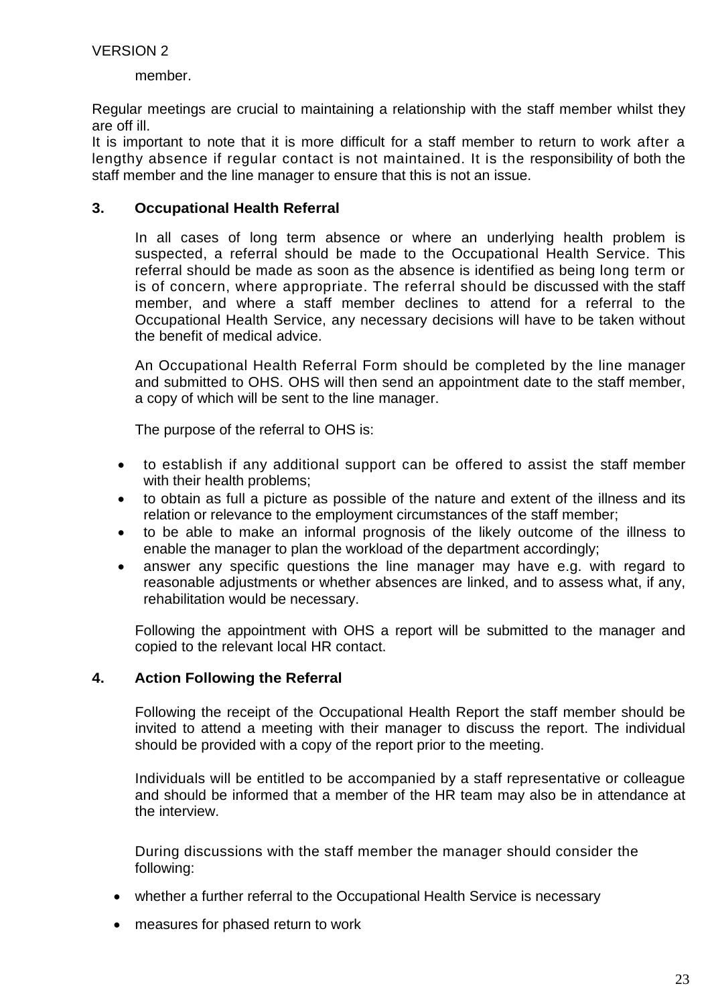member.

Regular meetings are crucial to maintaining a relationship with the staff member whilst they are off ill.

It is important to note that it is more difficult for a staff member to return to work after a lengthy absence if regular contact is not maintained. It is the responsibility of both the staff member and the line manager to ensure that this is not an issue.

#### **3. Occupational Health Referral**

In all cases of long term absence or where an underlying health problem is suspected, a referral should be made to the Occupational Health Service. This referral should be made as soon as the absence is identified as being long term or is of concern, where appropriate. The referral should be discussed with the staff member, and where a staff member declines to attend for a referral to the Occupational Health Service, any necessary decisions will have to be taken without the benefit of medical advice.

An Occupational Health Referral Form should be completed by the line manager and submitted to OHS. OHS will then send an appointment date to the staff member, a copy of which will be sent to the line manager.

The purpose of the referral to OHS is:

- to establish if any additional support can be offered to assist the staff member with their health problems;
- to obtain as full a picture as possible of the nature and extent of the illness and its relation or relevance to the employment circumstances of the staff member;
- to be able to make an informal prognosis of the likely outcome of the illness to enable the manager to plan the workload of the department accordingly;
- answer any specific questions the line manager may have e.g. with regard to reasonable adjustments or whether absences are linked, and to assess what, if any, rehabilitation would be necessary.

Following the appointment with OHS a report will be submitted to the manager and copied to the relevant local HR contact.

#### **4. Action Following the Referral**

Following the receipt of the Occupational Health Report the staff member should be invited to attend a meeting with their manager to discuss the report. The individual should be provided with a copy of the report prior to the meeting.

Individuals will be entitled to be accompanied by a staff representative or colleague and should be informed that a member of the HR team may also be in attendance at the interview.

During discussions with the staff member the manager should consider the following:

- whether a further referral to the Occupational Health Service is necessary
- measures for phased return to work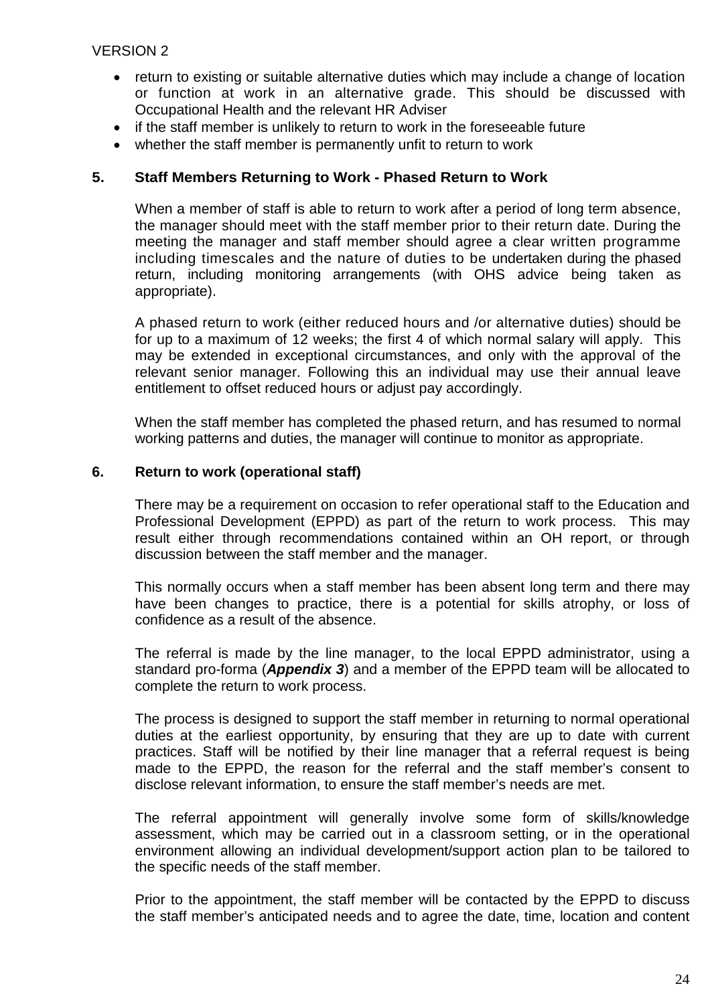- return to existing or suitable alternative duties which may include a change of location or function at work in an alternative grade. This should be discussed with Occupational Health and the relevant HR Adviser
- if the staff member is unlikely to return to work in the foreseeable future
- whether the staff member is permanently unfit to return to work

# **5. Staff Members Returning to Work - Phased Return to Work**

When a member of staff is able to return to work after a period of long term absence, the manager should meet with the staff member prior to their return date. During the meeting the manager and staff member should agree a clear written programme including timescales and the nature of duties to be undertaken during the phased return, including monitoring arrangements (with OHS advice being taken as appropriate).

A phased return to work (either reduced hours and /or alternative duties) should be for up to a maximum of 12 weeks; the first 4 of which normal salary will apply. This may be extended in exceptional circumstances, and only with the approval of the relevant senior manager. Following this an individual may use their annual leave entitlement to offset reduced hours or adjust pay accordingly.

When the staff member has completed the phased return, and has resumed to normal working patterns and duties, the manager will continue to monitor as appropriate.

#### **6. Return to work (operational staff)**

There may be a requirement on occasion to refer operational staff to the Education and Professional Development (EPPD) as part of the return to work process. This may result either through recommendations contained within an OH report, or through discussion between the staff member and the manager.

This normally occurs when a staff member has been absent long term and there may have been changes to practice, there is a potential for skills atrophy, or loss of confidence as a result of the absence.

The referral is made by the line manager, to the local EPPD administrator, using a standard pro-forma (*Appendix 3*) and a member of the EPPD team will be allocated to complete the return to work process.

The process is designed to support the staff member in returning to normal operational duties at the earliest opportunity, by ensuring that they are up to date with current practices. Staff will be notified by their line manager that a referral request is being made to the EPPD, the reason for the referral and the staff member's consent to disclose relevant information, to ensure the staff member's needs are met.

The referral appointment will generally involve some form of skills/knowledge assessment, which may be carried out in a classroom setting, or in the operational environment allowing an individual development/support action plan to be tailored to the specific needs of the staff member.

Prior to the appointment, the staff member will be contacted by the EPPD to discuss the staff member's anticipated needs and to agree the date, time, location and content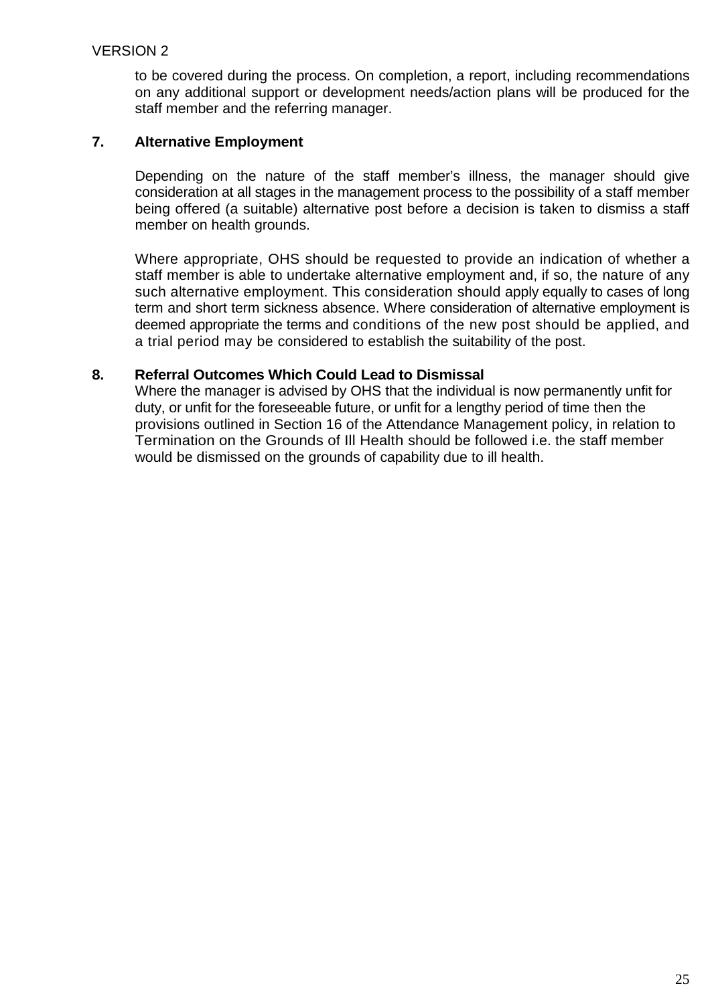to be covered during the process. On completion, a report, including recommendations on any additional support or development needs/action plans will be produced for the staff member and the referring manager.

### **7. Alternative Employment**

Depending on the nature of the staff member's illness, the manager should give consideration at all stages in the management process to the possibility of a staff member being offered (a suitable) alternative post before a decision is taken to dismiss a staff member on health grounds.

Where appropriate, OHS should be requested to provide an indication of whether a staff member is able to undertake alternative employment and, if so, the nature of any such alternative employment. This consideration should apply equally to cases of long term and short term sickness absence. Where consideration of alternative employment is deemed appropriate the terms and conditions of the new post should be applied, and a trial period may be considered to establish the suitability of the post.

### **8. Referral Outcomes Which Could Lead to Dismissal**

Where the manager is advised by OHS that the individual is now permanently unfit for duty, or unfit for the foreseeable future, or unfit for a lengthy period of time then the provisions outlined in Section 16 of the Attendance Management policy, in relation to Termination on the Grounds of Ill Health should be followed i.e. the staff member would be dismissed on the grounds of capability due to ill health.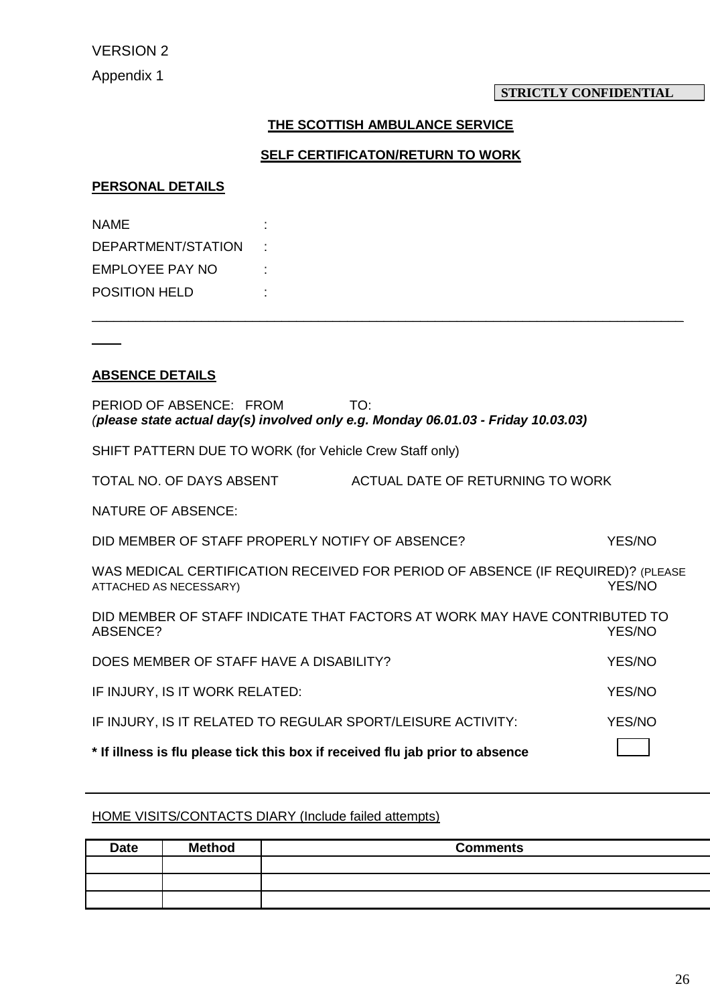#### **STRICTLY CONFIDENTIAL**

# **THE SCOTTISH AMBULANCE SERVICE**

#### **SELF CERTIFICATON/RETURN TO WORK**

\_\_\_\_\_\_\_\_\_\_\_\_\_\_\_\_\_\_\_\_\_\_\_\_\_\_\_\_\_\_\_\_\_\_\_\_\_\_\_\_\_\_\_\_\_\_\_\_\_\_\_\_\_\_\_\_\_\_\_\_\_\_\_\_\_\_\_\_\_\_\_\_\_\_\_\_\_\_\_\_\_

#### **PERSONAL DETAILS**

| NAME                 |  |
|----------------------|--|
| DEPARTMENT/STATION   |  |
| EMPLOYEE PAY NO      |  |
| <b>POSITION HELD</b> |  |

#### **ABSENCE DETAILS**

 $\overline{\phantom{a}}$ 

| PERIOD OF ABSENCE: FROM<br>TO:<br>(please state actual day(s) involved only e.g. Monday 06.01.03 - Friday 10.03.03) |                                                         |               |  |  |
|---------------------------------------------------------------------------------------------------------------------|---------------------------------------------------------|---------------|--|--|
|                                                                                                                     | SHIFT PATTERN DUE TO WORK (for Vehicle Crew Staff only) |               |  |  |
| TOTAL NO. OF DAYS ABSENT                                                                                            | ACTUAL DATE OF RETURNING TO WORK                        |               |  |  |
| <b>NATURE OF ABSENCE:</b>                                                                                           |                                                         |               |  |  |
| DID MEMBER OF STAFF PROPERLY NOTIFY OF ABSENCE?                                                                     |                                                         | <b>YES/NO</b> |  |  |
| WAS MEDICAL CERTIFICATION RECEIVED FOR PERIOD OF ABSENCE (IF REQUIRED)? (PLEASE<br>YES/NO<br>ATTACHED AS NECESSARY) |                                                         |               |  |  |
| DID MEMBER OF STAFF INDICATE THAT FACTORS AT WORK MAY HAVE CONTRIBUTED TO<br>ABSENCE?<br>YES/NO                     |                                                         |               |  |  |
| DOES MEMBER OF STAFF HAVE A DISABILITY?<br><b>YES/NO</b>                                                            |                                                         |               |  |  |
| IF INJURY, IS IT WORK RELATED:<br><b>YES/NO</b>                                                                     |                                                         |               |  |  |
| IF INJURY, IS IT RELATED TO REGULAR SPORT/LEISURE ACTIVITY:                                                         |                                                         | <b>YES/NO</b> |  |  |
| * If illness is flu please tick this box if received flu jab prior to absence                                       |                                                         |               |  |  |

### HOME VISITS/CONTACTS DIARY (Include failed attempts)

| <b>Date</b> | <b>Method</b> | <b>Comments</b> |
|-------------|---------------|-----------------|
|             |               |                 |
|             |               |                 |
|             |               |                 |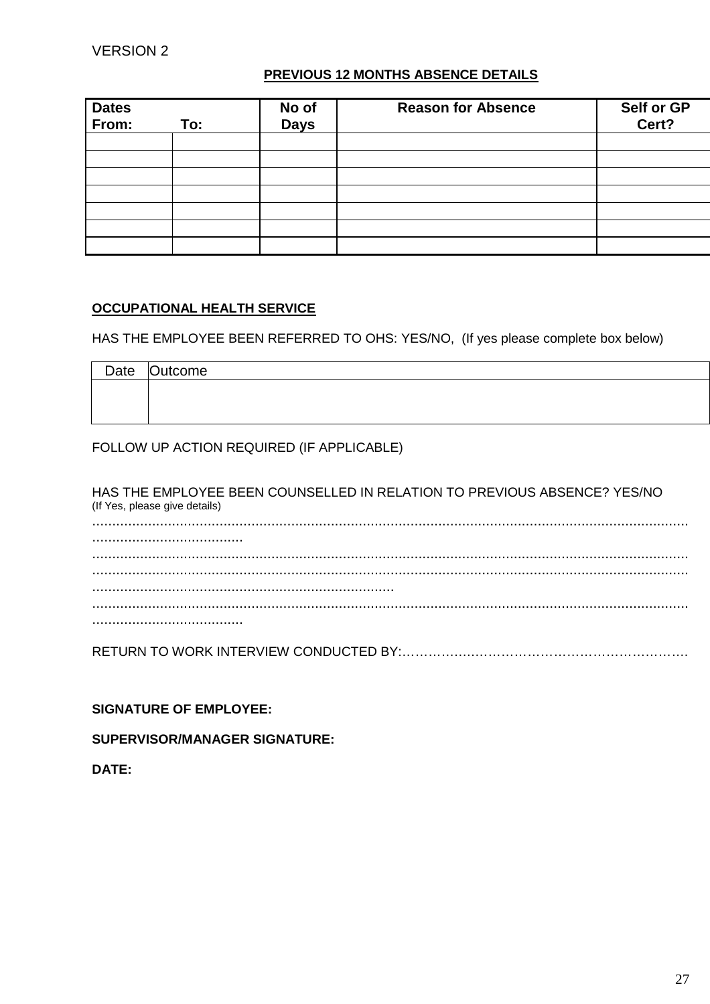#### **PREVIOUS 12 MONTHS ABSENCE DETAILS**

| Dates<br>From: | To: | No of<br><b>Days</b> | <b>Reason for Absence</b> | Self or GP<br>Cert? |
|----------------|-----|----------------------|---------------------------|---------------------|
|                |     |                      |                           |                     |
|                |     |                      |                           |                     |
|                |     |                      |                           |                     |
|                |     |                      |                           |                     |
|                |     |                      |                           |                     |
|                |     |                      |                           |                     |
|                |     |                      |                           |                     |

#### **OCCUPATIONAL HEALTH SERVICE**

HAS THE EMPLOYEE BEEN REFERRED TO OHS: YES/NO, (If yes please complete box below)

| Date Outcome |
|--------------|
|              |
|              |
|              |

#### FOLLOW UP ACTION REQUIRED (IF APPLICABLE)

HAS THE EMPLOYEE BEEN COUNSELLED IN RELATION TO PREVIOUS ABSENCE? YES/NO (If Yes, please give details) ...................................................................................................................................................... ...................................... ...................................................................................................................................................... ...................................................................................................................................................... ............................................................................ ...................................................................................................................................................... ......................................

RETURN TO WORK INTERVIEW CONDUCTED BY:………….….………………………………………….

**SIGNATURE OF EMPLOYEE:**

**SUPERVISOR/MANAGER SIGNATURE:**

**DATE:**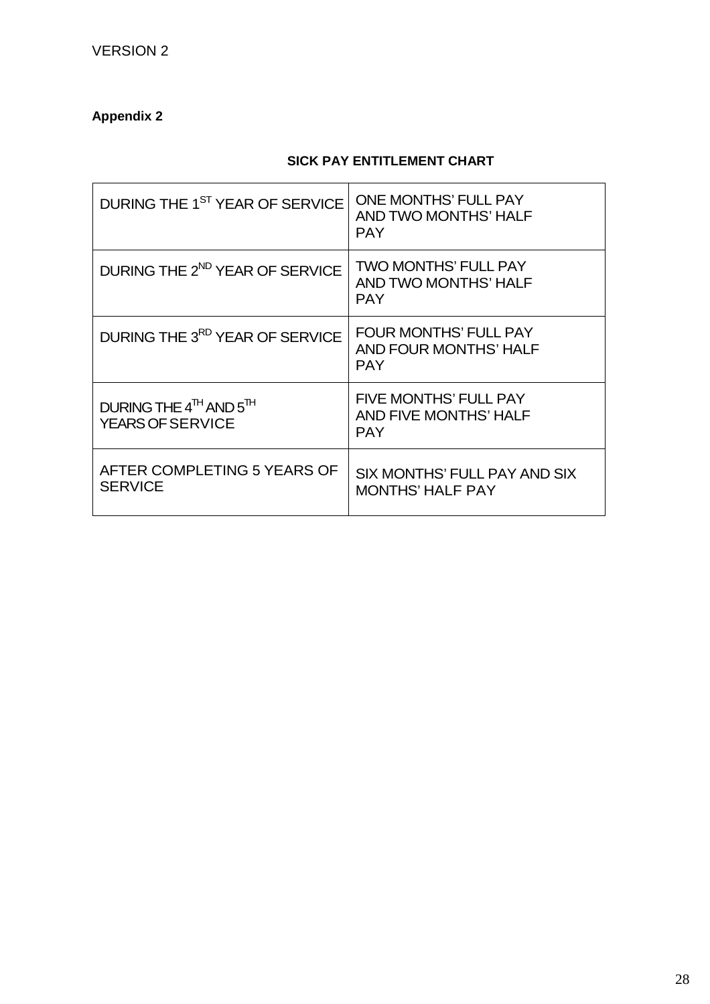# **Appendix 2**

# **SICK PAY ENTITLEMENT CHART**

| DURING THE 1 <sup>ST</sup> YEAR OF SERVICE                                | <b>ONE MONTHS' FULL PAY</b><br>AND TWO MONTHS' HALF<br><b>PAY</b>   |
|---------------------------------------------------------------------------|---------------------------------------------------------------------|
| DURING THE 2 <sup>ND</sup> YEAR OF SERVICE                                | <b>TWO MONTHS' FULL PAY</b><br>AND TWO MONTHS' HALF<br><b>PAY</b>   |
| DURING THE 3 <sup>RD</sup> YEAR OF SERVICE                                | <b>FOUR MONTHS' FULL PAY</b><br>AND FOUR MONTHS' HALF<br><b>PAY</b> |
| DURING THE $4^{\text{TH}}$ AND $5^{\text{TH}}$<br><b>YEARS OF SERVICE</b> | FIVE MONTHS' FULL PAY<br>AND FIVE MONTHS' HALF<br><b>PAY</b>        |
| AFTER COMPLETING 5 YEARS OF<br><b>SERVICE</b>                             | SIX MONTHS' FULL PAY AND SIX<br><b>MONTHS' HALF PAY</b>             |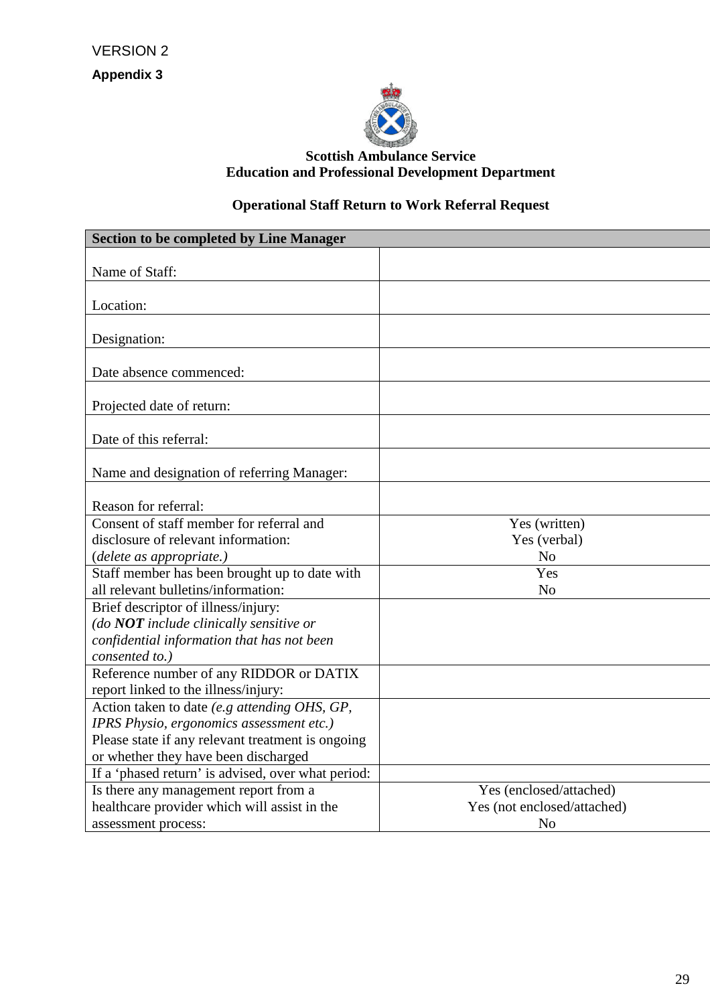

# **Scottish Ambulance Service Education and Professional Development Department**

# **Operational Staff Return to Work Referral Request**

| <b>Section to be completed by Line Manager</b>     |                             |
|----------------------------------------------------|-----------------------------|
|                                                    |                             |
| Name of Staff:                                     |                             |
|                                                    |                             |
| Location:                                          |                             |
| Designation:                                       |                             |
|                                                    |                             |
| Date absence commenced:                            |                             |
|                                                    |                             |
| Projected date of return:                          |                             |
|                                                    |                             |
| Date of this referral:                             |                             |
|                                                    |                             |
| Name and designation of referring Manager:         |                             |
|                                                    |                             |
| Reason for referral:                               |                             |
| Consent of staff member for referral and           | Yes (written)               |
| disclosure of relevant information:                | Yes (verbal)                |
| (delete as appropriate.)                           | N <sub>o</sub>              |
| Staff member has been brought up to date with      | Yes                         |
| all relevant bulletins/information:                | N <sub>o</sub>              |
| Brief descriptor of illness/injury:                |                             |
| (do NOT include clinically sensitive or            |                             |
| confidential information that has not been         |                             |
| consented to.)                                     |                             |
| Reference number of any RIDDOR or DATIX            |                             |
| report linked to the illness/injury:               |                             |
| Action taken to date (e.g attending OHS, GP,       |                             |
| IPRS Physio, ergonomics assessment etc.)           |                             |
| Please state if any relevant treatment is ongoing  |                             |
| or whether they have been discharged               |                             |
| If a 'phased return' is advised, over what period: |                             |
| Is there any management report from a              | Yes (enclosed/attached)     |
| healthcare provider which will assist in the       | Yes (not enclosed/attached) |
| assessment process:                                | N <sub>o</sub>              |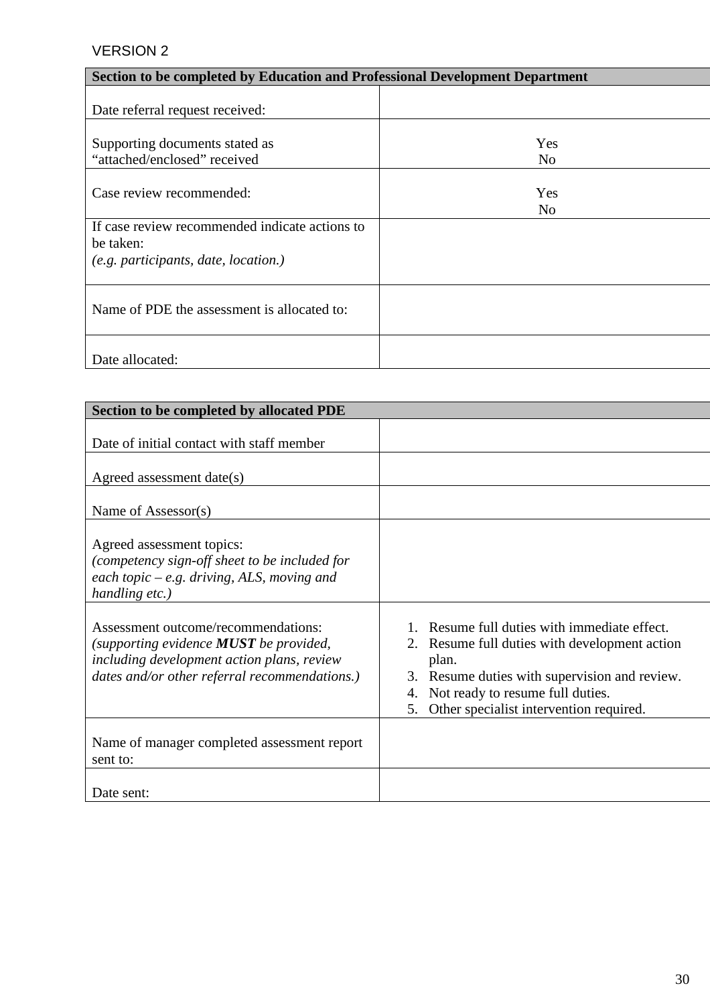| Section to be completed by Education and Professional Development Department |                |
|------------------------------------------------------------------------------|----------------|
|                                                                              |                |
| Date referral request received:                                              |                |
|                                                                              |                |
| Supporting documents stated as                                               | Yes            |
| "attached/enclosed" received                                                 | No             |
|                                                                              |                |
| Case review recommended:                                                     | Yes            |
|                                                                              | N <sub>0</sub> |
| If case review recommended indicate actions to                               |                |
| be taken:                                                                    |                |
| (e.g. participants, date, location.)                                         |                |
|                                                                              |                |
|                                                                              |                |
| Name of PDE the assessment is allocated to:                                  |                |
|                                                                              |                |
|                                                                              |                |
| Date allocated:                                                              |                |

| Section to be completed by allocated PDE                                                                                                                                       |                                                                                                                                                                                                                                                 |
|--------------------------------------------------------------------------------------------------------------------------------------------------------------------------------|-------------------------------------------------------------------------------------------------------------------------------------------------------------------------------------------------------------------------------------------------|
| Date of initial contact with staff member                                                                                                                                      |                                                                                                                                                                                                                                                 |
| Agreed assessment date(s)                                                                                                                                                      |                                                                                                                                                                                                                                                 |
| Name of Assessor(s)                                                                                                                                                            |                                                                                                                                                                                                                                                 |
| Agreed assessment topics:<br>(competency sign-off sheet to be included for<br>each topic $-e.g.$ driving, ALS, moving and<br>handling etc.)                                    |                                                                                                                                                                                                                                                 |
| Assessment outcome/recommendations:<br>(supporting evidence $MUST$ be provided,<br>including development action plans, review<br>dates and/or other referral recommendations.) | 1. Resume full duties with immediate effect.<br>2. Resume full duties with development action<br>plan.<br>3. Resume duties with supervision and review.<br>4. Not ready to resume full duties.<br>Other specialist intervention required.<br>5. |
| Name of manager completed assessment report<br>sent to:                                                                                                                        |                                                                                                                                                                                                                                                 |
| Date sent:                                                                                                                                                                     |                                                                                                                                                                                                                                                 |